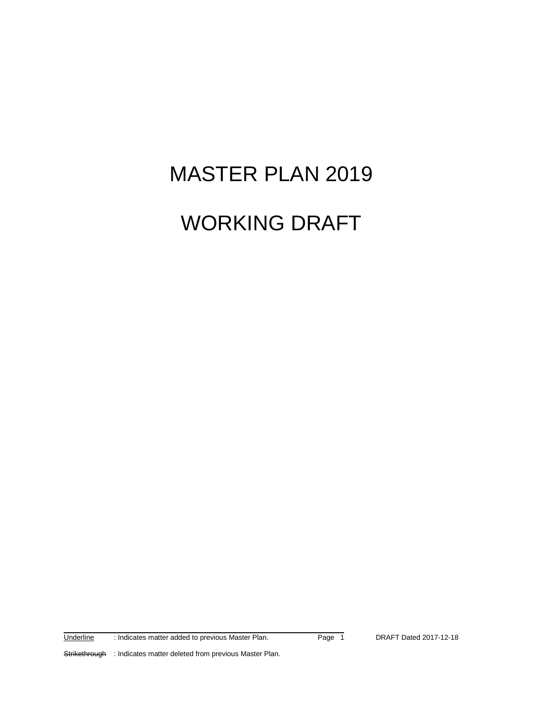# MASTER PLAN 2019

# WORKING DRAFT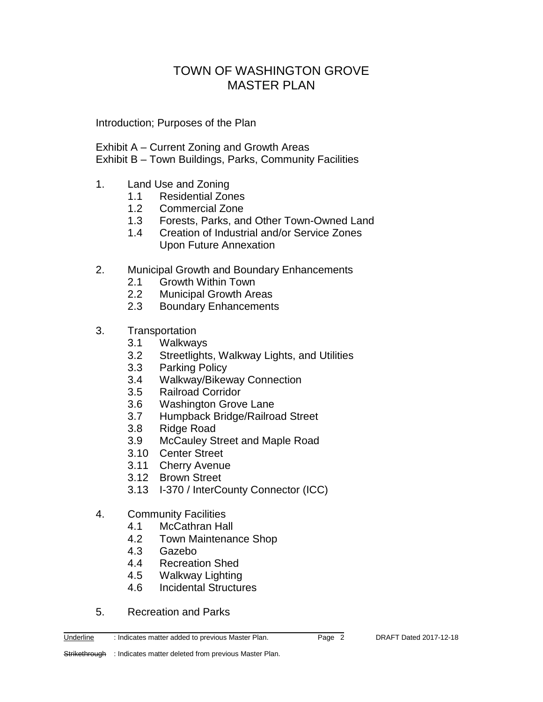# TOWN OF WASHINGTON GROVE MASTER PLAN

Introduction; Purposes of the Plan

- Exhibit A Current Zoning and Growth Areas
- Exhibit B Town Buildings, Parks, Community Facilities
- 1. Land Use and Zoning
	- 1.1 Residential Zones
	- 1.2 Commercial Zone
	- 1.3 Forests, Parks, and Other Town-Owned Land
	- 1.4 Creation of Industrial and/or Service Zones Upon Future Annexation
- 2. Municipal Growth and Boundary Enhancements
	- 2.1 Growth Within Town
	- 2.2 Municipal Growth Areas
	- 2.3 Boundary Enhancements
- 3. Transportation
	- 3.1 Walkways
	- 3.2 Streetlights, Walkway Lights, and Utilities
	- 3.3 Parking Policy
	- 3.4 Walkway/Bikeway Connection
	- 3.5 Railroad Corridor
	- 3.6 Washington Grove Lane
	- 3.7 Humpback Bridge/Railroad Street
	- 3.8 Ridge Road
	- 3.9 McCauley Street and Maple Road
	- 3.10 Center Street
	- 3.11 Cherry Avenue
	- 3.12 Brown Street
	- 3.13 I-370 / InterCounty Connector (ICC)
- 4. Community Facilities
	- 4.1 McCathran Hall<br>4.2 Town Maintenar
	- Town Maintenance Shop

- 4.3 Gazebo
- 4.4 Recreation Shed
- 4.5 Walkway Lighting
- 4.6 Incidental Structures
- 5. Recreation and Parks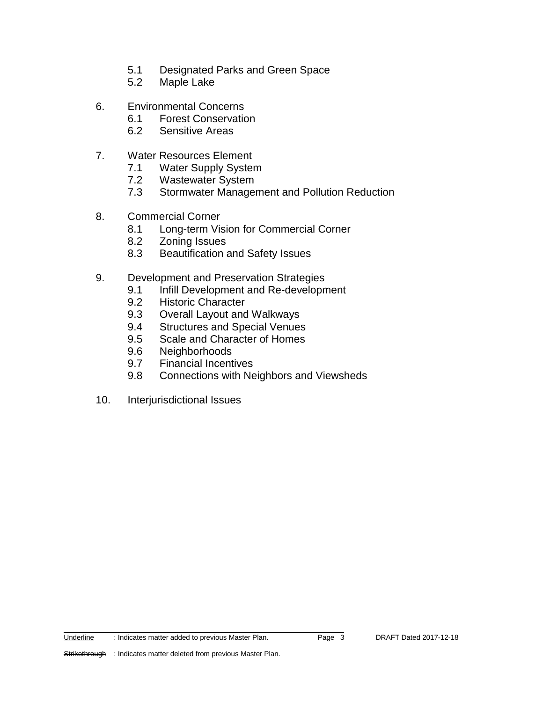- 5.1 Designated Parks and Green Space
- 5.2 Maple Lake
- 6. Environmental Concerns
	- 6.1 Forest Conservation
	- 6.2 Sensitive Areas
- 7. Water Resources Element
	- 7.1 Water Supply System
	- 7.2 Wastewater System
	- 7.3 Stormwater Management and Pollution Reduction
- 8. Commercial Corner
	- 8.1 Long-term Vision for Commercial Corner
	- 8.2 Zoning Issues
	- 8.3 Beautification and Safety Issues
- 9. Development and Preservation Strategies
	- 9.1 Infill Development and Re-development
	- 9.2 Historic Character
	- 9.3 Overall Layout and Walkways
	- 9.4 Structures and Special Venues
	- 9.5 Scale and Character of Homes
	- 9.6 Neighborhoods
	- 9.7 Financial Incentives
	- 9.8 Connections with Neighbors and Viewsheds
- 10. Interjurisdictional Issues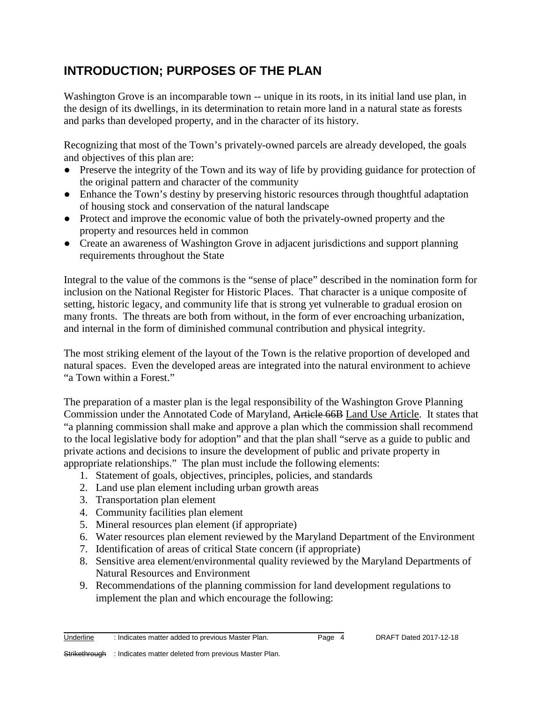# **INTRODUCTION; PURPOSES OF THE PLAN**

Washington Grove is an incomparable town -- unique in its roots, in its initial land use plan, in the design of its dwellings, in its determination to retain more land in a natural state as forests and parks than developed property, and in the character of its history.

Recognizing that most of the Town's privately-owned parcels are already developed, the goals and objectives of this plan are:

- Preserve the integrity of the Town and its way of life by providing guidance for protection of the original pattern and character of the community
- Enhance the Town's destiny by preserving historic resources through thoughtful adaptation of housing stock and conservation of the natural landscape
- Protect and improve the economic value of both the privately-owned property and the property and resources held in common
- Create an awareness of Washington Grove in adjacent jurisdictions and support planning requirements throughout the State

Integral to the value of the commons is the "sense of place" described in the nomination form for inclusion on the National Register for Historic Places. That character is a unique composite of setting, historic legacy, and community life that is strong yet vulnerable to gradual erosion on many fronts. The threats are both from without, in the form of ever encroaching urbanization, and internal in the form of diminished communal contribution and physical integrity.

The most striking element of the layout of the Town is the relative proportion of developed and natural spaces. Even the developed areas are integrated into the natural environment to achieve "a Town within a Forest."

The preparation of a master plan is the legal responsibility of the Washington Grove Planning Commission under the Annotated Code of Maryland, Article 66B Land Use Article. It states that "a planning commission shall make and approve a plan which the commission shall recommend to the local legislative body for adoption" and that the plan shall "serve as a guide to public and private actions and decisions to insure the development of public and private property in appropriate relationships." The plan must include the following elements:

- 1. Statement of goals, objectives, principles, policies, and standards
- 2. Land use plan element including urban growth areas
- 3. Transportation plan element
- 4. Community facilities plan element
- 5. Mineral resources plan element (if appropriate)
- 6. Water resources plan element reviewed by the Maryland Department of the Environment
- 7. Identification of areas of critical State concern (if appropriate)
- 8. Sensitive area element/environmental quality reviewed by the Maryland Departments of Natural Resources and Environment
- 9. Recommendations of the planning commission for land development regulations to implement the plan and which encourage the following: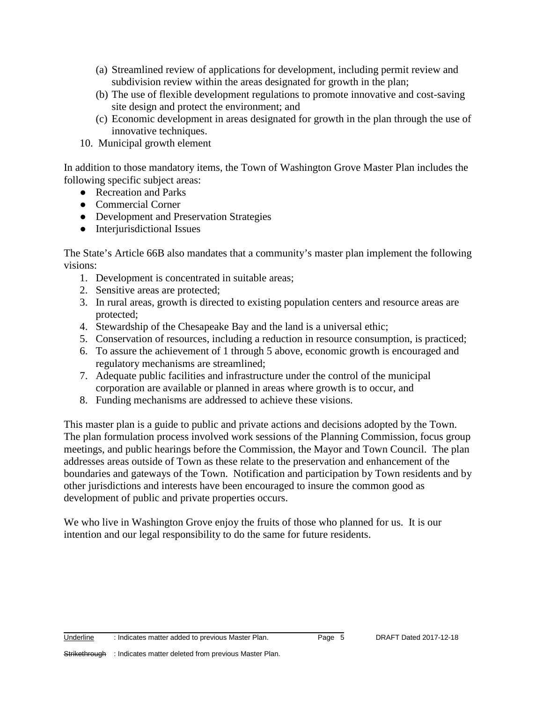- (a) Streamlined review of applications for development, including permit review and subdivision review within the areas designated for growth in the plan;
- (b) The use of flexible development regulations to promote innovative and cost-saving site design and protect the environment; and
- (c) Economic development in areas designated for growth in the plan through the use of innovative techniques.
- 10. Municipal growth element

In addition to those mandatory items, the Town of Washington Grove Master Plan includes the following specific subject areas:

- Recreation and Parks
- Commercial Corner
- Development and Preservation Strategies
- Interjurisdictional Issues

The State's Article 66B also mandates that a community's master plan implement the following visions:

- 1. Development is concentrated in suitable areas;
- 2. Sensitive areas are protected;
- 3. In rural areas, growth is directed to existing population centers and resource areas are protected;
- 4. Stewardship of the Chesapeake Bay and the land is a universal ethic;
- 5. Conservation of resources, including a reduction in resource consumption, is practiced;
- 6. To assure the achievement of 1 through 5 above, economic growth is encouraged and regulatory mechanisms are streamlined;
- 7. Adequate public facilities and infrastructure under the control of the municipal corporation are available or planned in areas where growth is to occur, and
- 8. Funding mechanisms are addressed to achieve these visions.

This master plan is a guide to public and private actions and decisions adopted by the Town. The plan formulation process involved work sessions of the Planning Commission, focus group meetings, and public hearings before the Commission, the Mayor and Town Council. The plan addresses areas outside of Town as these relate to the preservation and enhancement of the boundaries and gateways of the Town. Notification and participation by Town residents and by other jurisdictions and interests have been encouraged to insure the common good as development of public and private properties occurs.

We who live in Washington Grove enjoy the fruits of those who planned for us. It is our intention and our legal responsibility to do the same for future residents.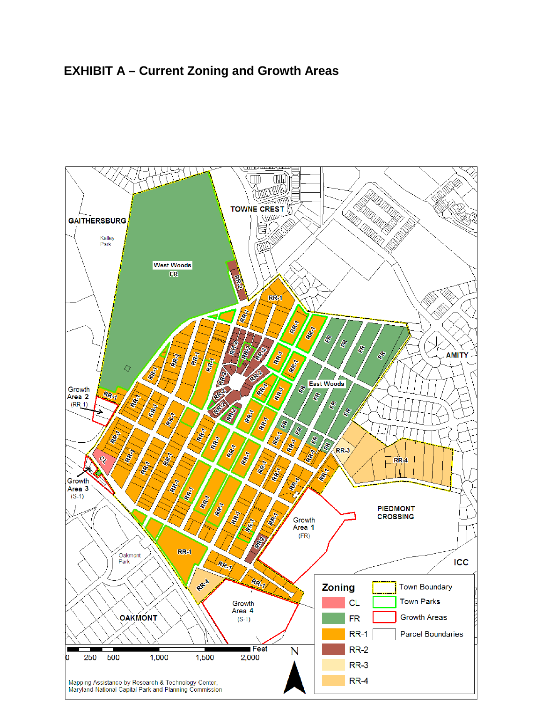# **EXHIBIT A – Current Zoning and Growth Areas**

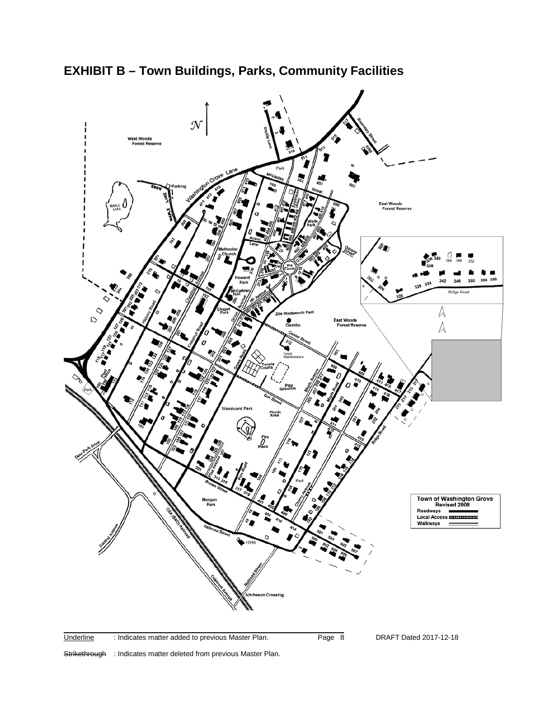

**EXHIBIT B – Town Buildings, Parks, Community Facilities**

Strikethrough : Indicates matter deleted from previous Master Plan.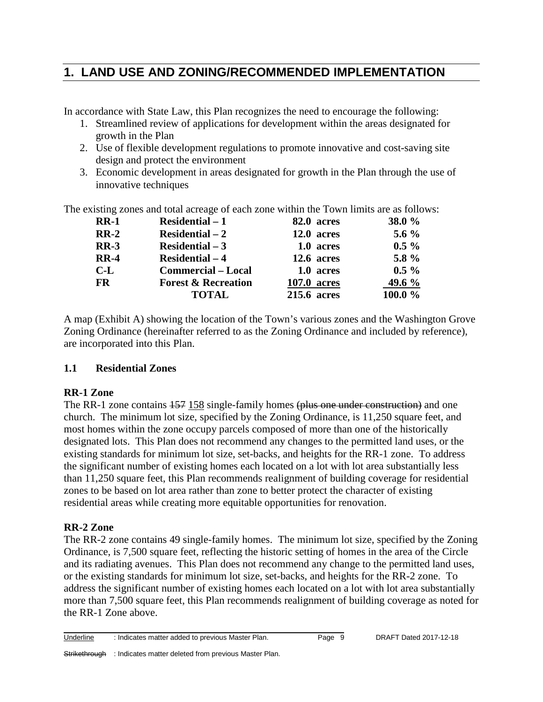# **1. LAND USE AND ZONING/RECOMMENDED IMPLEMENTATION**

In accordance with State Law, this Plan recognizes the need to encourage the following:

- 1. Streamlined review of applications for development within the areas designated for growth in the Plan
- 2. Use of flexible development regulations to promote innovative and cost-saving site design and protect the environment
- 3. Economic development in areas designated for growth in the Plan through the use of innovative techniques

The existing zones and total acreage of each zone within the Town limits are as follows:

| $RR-1$    | <b>Residential – 1</b>         | 82.0 acres         | <b>38.0 %</b> |
|-----------|--------------------------------|--------------------|---------------|
| $RR-2$    | $Residental - 2$               | 12.0 acres         | 5.6 $\%$      |
| $RR-3$    | Residential $-3$               | 1.0 acres          | $0.5\%$       |
| $RR-4$    | $Residental - 4$               | 12.6 acres         | 5.8 $%$       |
| $C-L$     | <b>Commercial – Local</b>      | 1.0 acres          | $0.5\%$       |
| <b>FR</b> | <b>Forest &amp; Recreation</b> | <b>107.0 acres</b> | 49.6 %        |
|           | <b>TOTAL</b>                   | 215.6 acres        | 100.0 $\%$    |

A map (Exhibit A) showing the location of the Town's various zones and the Washington Grove Zoning Ordinance (hereinafter referred to as the Zoning Ordinance and included by reference), are incorporated into this Plan.

# **1.1 Residential Zones**

# **RR-1 Zone**

The RR-1 zone contains  $157$  158 single-family homes (plus one under construction) and one church. The minimum lot size, specified by the Zoning Ordinance, is 11,250 square feet, and most homes within the zone occupy parcels composed of more than one of the historically designated lots. This Plan does not recommend any changes to the permitted land uses, or the existing standards for minimum lot size, set-backs, and heights for the RR-1 zone. To address the significant number of existing homes each located on a lot with lot area substantially less than 11,250 square feet, this Plan recommends realignment of building coverage for residential zones to be based on lot area rather than zone to better protect the character of existing residential areas while creating more equitable opportunities for renovation.

# **RR-2 Zone**

The RR-2 zone contains 49 single-family homes. The minimum lot size, specified by the Zoning Ordinance, is 7,500 square feet, reflecting the historic setting of homes in the area of the Circle and its radiating avenues. This Plan does not recommend any change to the permitted land uses, or the existing standards for minimum lot size, set-backs, and heights for the RR-2 zone. To address the significant number of existing homes each located on a lot with lot area substantially more than 7,500 square feet, this Plan recommends realignment of building coverage as noted for the RR-1 Zone above.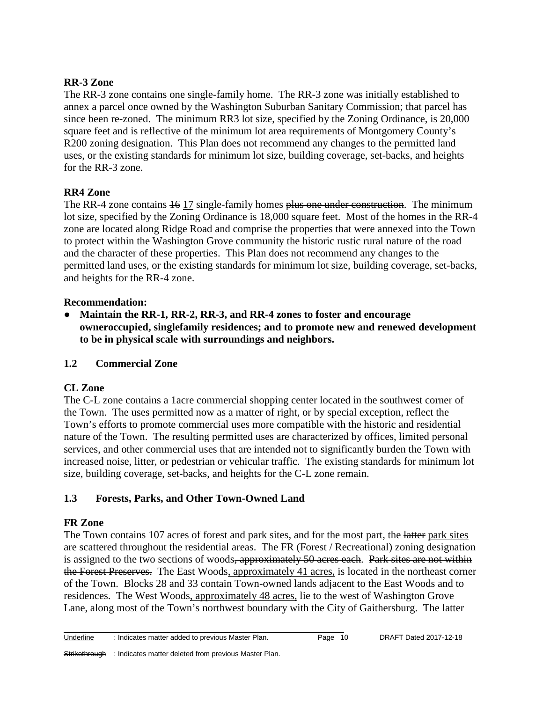## **RR-3 Zone**

The RR-3 zone contains one single-family home. The RR-3 zone was initially established to annex a parcel once owned by the Washington Suburban Sanitary Commission; that parcel has since been re-zoned. The minimum RR3 lot size, specified by the Zoning Ordinance, is 20,000 square feet and is reflective of the minimum lot area requirements of Montgomery County's R200 zoning designation. This Plan does not recommend any changes to the permitted land uses, or the existing standards for minimum lot size, building coverage, set-backs, and heights for the RR-3 zone.

#### **RR4 Zone**

The RR-4 zone contains  $\frac{16}{17}$  single-family homes plus one under construction. The minimum lot size, specified by the Zoning Ordinance is 18,000 square feet. Most of the homes in the RR-4 zone are located along Ridge Road and comprise the properties that were annexed into the Town to protect within the Washington Grove community the historic rustic rural nature of the road and the character of these properties. This Plan does not recommend any changes to the permitted land uses, or the existing standards for minimum lot size, building coverage, set-backs, and heights for the RR-4 zone.

#### **Recommendation:**

● **Maintain the RR-1, RR-2, RR-3, and RR-4 zones to foster and encourage owneroccupied, singlefamily residences; and to promote new and renewed development to be in physical scale with surroundings and neighbors.**

# **1.2 Commercial Zone**

# **CL Zone**

The C-L zone contains a 1acre commercial shopping center located in the southwest corner of the Town. The uses permitted now as a matter of right, or by special exception, reflect the Town's efforts to promote commercial uses more compatible with the historic and residential nature of the Town. The resulting permitted uses are characterized by offices, limited personal services, and other commercial uses that are intended not to significantly burden the Town with increased noise, litter, or pedestrian or vehicular traffic. The existing standards for minimum lot size, building coverage, set-backs, and heights for the C-L zone remain.

# **1.3 Forests, Parks, and Other Town-Owned Land**

# **FR Zone**

The Town contains 107 acres of forest and park sites, and for the most part, the latter park sites are scattered throughout the residential areas. The FR (Forest / Recreational) zoning designation is assigned to the two sections of woods, approximately 50 acres each. Park sites are not within the Forest Preserves. The East Woods, approximately 41 acres, is located in the northeast corner of the Town. Blocks 28 and 33 contain Town-owned lands adjacent to the East Woods and to residences. The West Woods, approximately 48 acres, lie to the west of Washington Grove Lane, along most of the Town's northwest boundary with the City of Gaithersburg. The latter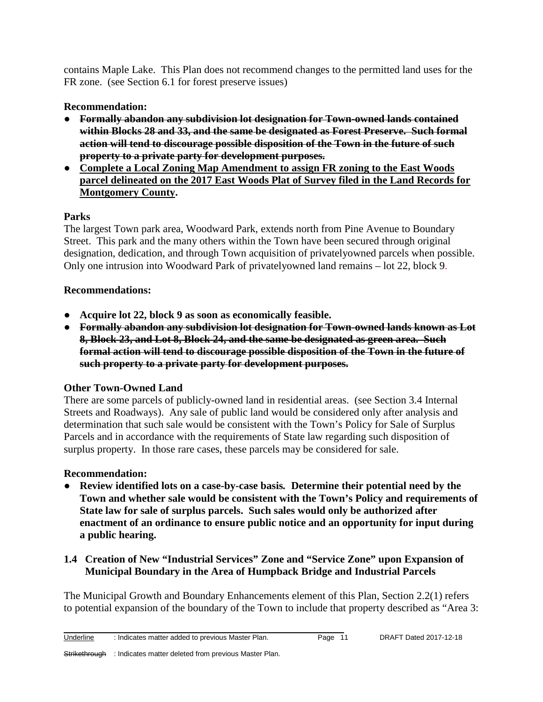contains Maple Lake. This Plan does not recommend changes to the permitted land uses for the FR zone. (see Section 6.1 for forest preserve issues)

# **Recommendation:**

- **Formally abandon any subdivision lot designation for Town-owned lands contained within Blocks 28 and 33, and the same be designated as Forest Preserve. Such formal action will tend to discourage possible disposition of the Town in the future of such property to a private party for development purposes.**
- **Complete a Local Zoning Map Amendment to assign FR zoning to the East Woods parcel delineated on the 2017 East Woods Plat of Survey filed in the Land Records for Montgomery County.**

# **Parks**

The largest Town park area, Woodward Park, extends north from Pine Avenue to Boundary Street. This park and the many others within the Town have been secured through original designation, dedication, and through Town acquisition of privatelyowned parcels when possible. Only one intrusion into Woodward Park of privatelyowned land remains – lot 22, block 9.

# **Recommendations:**

- **Acquire lot 22, block 9 as soon as economically feasible.**
- **Formally abandon any subdivision lot designation for Town-owned lands known as Lot 8, Block 23, and Lot 8, Block 24, and the same be designated as green area. Such formal action will tend to discourage possible disposition of the Town in the future of such property to a private party for development purposes.**

# **Other Town-Owned Land**

There are some parcels of publicly-owned land in residential areas. (see Section 3.4 Internal Streets and Roadways). Any sale of public land would be considered only after analysis and determination that such sale would be consistent with the Town's Policy for Sale of Surplus Parcels and in accordance with the requirements of State law regarding such disposition of surplus property. In those rare cases, these parcels may be considered for sale.

# **Recommendation:**

- **Review identified lots on a case-by-case basis***.* **Determine their potential need by the Town and whether sale would be consistent with the Town's Policy and requirements of State law for sale of surplus parcels. Such sales would only be authorized after enactment of an ordinance to ensure public notice and an opportunity for input during a public hearing.**
- **1.4 Creation of New "Industrial Services" Zone and "Service Zone" upon Expansion of Municipal Boundary in the Area of Humpback Bridge and Industrial Parcels**

The Municipal Growth and Boundary Enhancements element of this Plan, Section 2.2(1) refers to potential expansion of the boundary of the Town to include that property described as "Area 3: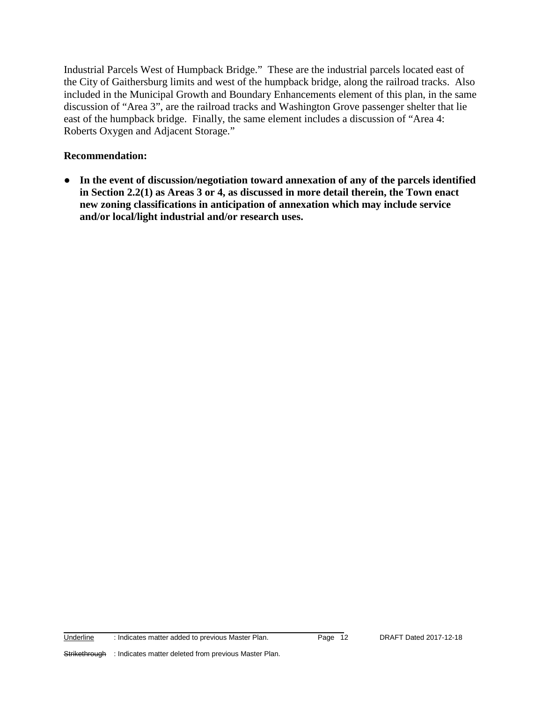Industrial Parcels West of Humpback Bridge." These are the industrial parcels located east of the City of Gaithersburg limits and west of the humpback bridge, along the railroad tracks. Also included in the Municipal Growth and Boundary Enhancements element of this plan, in the same discussion of "Area 3", are the railroad tracks and Washington Grove passenger shelter that lie east of the humpback bridge. Finally, the same element includes a discussion of "Area 4: Roberts Oxygen and Adjacent Storage."

#### **Recommendation:**

● **In the event of discussion/negotiation toward annexation of any of the parcels identified in Section 2.2(1) as Areas 3 or 4, as discussed in more detail therein, the Town enact new zoning classifications in anticipation of annexation which may include service and/or local/light industrial and/or research uses.**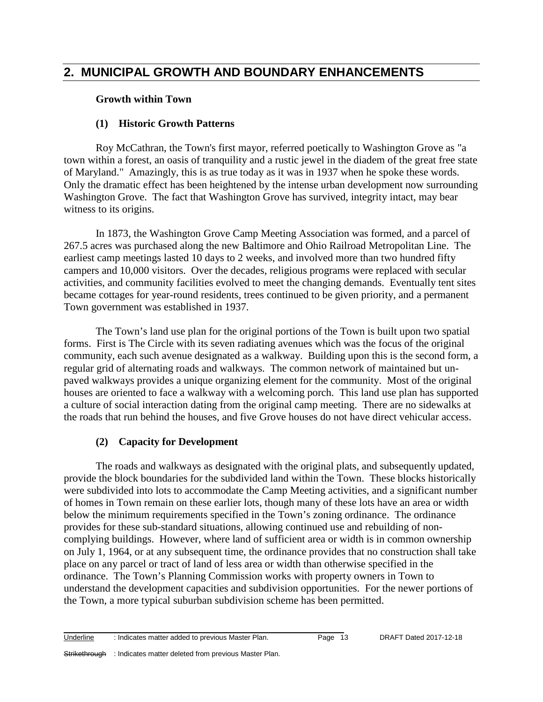# **2. MUNICIPAL GROWTH AND BOUNDARY ENHANCEMENTS**

#### **Growth within Town**

#### **(1) Historic Growth Patterns**

Roy McCathran, the Town's first mayor, referred poetically to Washington Grove as "a town within a forest, an oasis of tranquility and a rustic jewel in the diadem of the great free state of Maryland." Amazingly, this is as true today as it was in 1937 when he spoke these words. Only the dramatic effect has been heightened by the intense urban development now surrounding Washington Grove. The fact that Washington Grove has survived, integrity intact, may bear witness to its origins.

In 1873, the Washington Grove Camp Meeting Association was formed, and a parcel of 267.5 acres was purchased along the new Baltimore and Ohio Railroad Metropolitan Line. The earliest camp meetings lasted 10 days to 2 weeks, and involved more than two hundred fifty campers and 10,000 visitors. Over the decades, religious programs were replaced with secular activities, and community facilities evolved to meet the changing demands. Eventually tent sites became cottages for year-round residents, trees continued to be given priority, and a permanent Town government was established in 1937.

The Town's land use plan for the original portions of the Town is built upon two spatial forms. First is The Circle with its seven radiating avenues which was the focus of the original community, each such avenue designated as a walkway. Building upon this is the second form, a regular grid of alternating roads and walkways. The common network of maintained but unpaved walkways provides a unique organizing element for the community. Most of the original houses are oriented to face a walkway with a welcoming porch. This land use plan has supported a culture of social interaction dating from the original camp meeting. There are no sidewalks at the roads that run behind the houses, and five Grove houses do not have direct vehicular access.

#### **(2) Capacity for Development**

The roads and walkways as designated with the original plats, and subsequently updated, provide the block boundaries for the subdivided land within the Town. These blocks historically were subdivided into lots to accommodate the Camp Meeting activities, and a significant number of homes in Town remain on these earlier lots, though many of these lots have an area or width below the minimum requirements specified in the Town's zoning ordinance. The ordinance provides for these sub-standard situations, allowing continued use and rebuilding of noncomplying buildings. However, where land of sufficient area or width is in common ownership on July 1, 1964, or at any subsequent time, the ordinance provides that no construction shall take place on any parcel or tract of land of less area or width than otherwise specified in the ordinance. The Town's Planning Commission works with property owners in Town to understand the development capacities and subdivision opportunities. For the newer portions of the Town, a more typical suburban subdivision scheme has been permitted.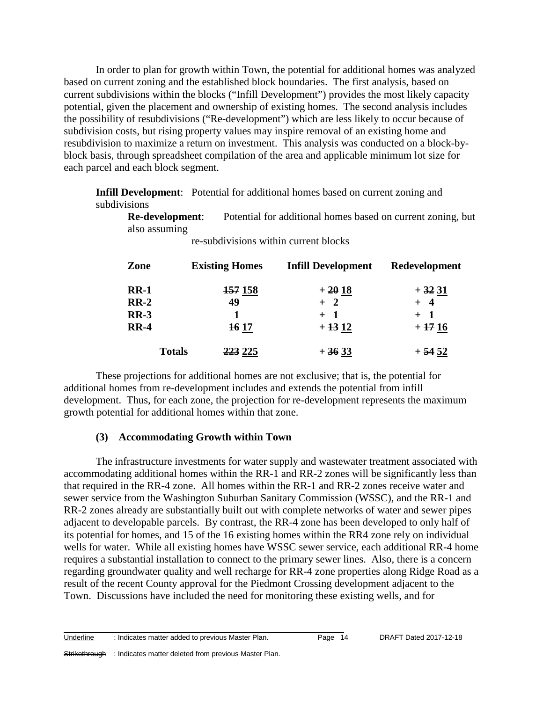In order to plan for growth within Town, the potential for additional homes was analyzed based on current zoning and the established block boundaries. The first analysis, based on current subdivisions within the blocks ("Infill Development") provides the most likely capacity potential, given the placement and ownership of existing homes. The second analysis includes the possibility of resubdivisions ("Re-development") which are less likely to occur because of subdivision costs, but rising property values may inspire removal of an existing home and resubdivision to maximize a return on investment. This analysis was conducted on a block-byblock basis, through spreadsheet compilation of the area and applicable minimum lot size for each parcel and each block segment.

**Infill Development**: Potential for additional homes based on current zoning and subdivisions

**Re-development**: Potential for additional homes based on current zoning, but also assuming

| Zone          | <b>Existing Homes</b> | <b>Infill Development</b> | Redevelopment |
|---------------|-----------------------|---------------------------|---------------|
| $RR-1$        | <del>157</del> 158    | $+2018$                   | $+3231$       |
| $RR-2$        | 49                    | $+2$                      | $+$ 4         |
| <b>RR-3</b>   |                       | $+$ 1                     | $+1$          |
| $RR-4$        | <b>16 17</b>          | $+1312$                   | $+1716$       |
| <b>Totals</b> | <del>223</del> 225    | $+3633$                   | $+5452$       |

re-subdivisions within current blocks

These projections for additional homes are not exclusive; that is, the potential for additional homes from re-development includes and extends the potential from infill development. Thus, for each zone, the projection for re-development represents the maximum growth potential for additional homes within that zone.

#### **(3) Accommodating Growth within Town**

The infrastructure investments for water supply and wastewater treatment associated with accommodating additional homes within the RR-1 and RR-2 zones will be significantly less than that required in the RR-4 zone. All homes within the RR-1 and RR-2 zones receive water and sewer service from the Washington Suburban Sanitary Commission (WSSC), and the RR-1 and RR-2 zones already are substantially built out with complete networks of water and sewer pipes adjacent to developable parcels. By contrast, the RR-4 zone has been developed to only half of its potential for homes, and 15 of the 16 existing homes within the RR4 zone rely on individual wells for water. While all existing homes have WSSC sewer service, each additional RR-4 home requires a substantial installation to connect to the primary sewer lines. Also, there is a concern regarding groundwater quality and well recharge for RR-4 zone properties along Ridge Road as a result of the recent County approval for the Piedmont Crossing development adjacent to the Town. Discussions have included the need for monitoring these existing wells, and for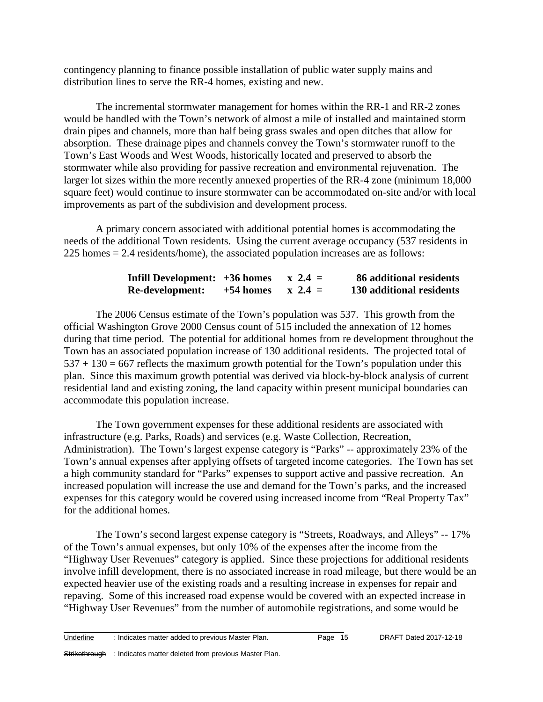contingency planning to finance possible installation of public water supply mains and distribution lines to serve the RR-4 homes, existing and new.

The incremental stormwater management for homes within the RR-1 and RR-2 zones would be handled with the Town's network of almost a mile of installed and maintained storm drain pipes and channels, more than half being grass swales and open ditches that allow for absorption. These drainage pipes and channels convey the Town's stormwater runoff to the Town's East Woods and West Woods, historically located and preserved to absorb the stormwater while also providing for passive recreation and environmental rejuvenation. The larger lot sizes within the more recently annexed properties of the RR-4 zone (minimum 18,000 square feet) would continue to insure stormwater can be accommodated on-site and/or with local improvements as part of the subdivision and development process.

A primary concern associated with additional potential homes is accommodating the needs of the additional Town residents. Using the current average occupancy (537 residents in 225 homes = 2.4 residents/home), the associated population increases are as follows:

| Infill Development: +36 homes |             | $x \ 2.4 =$ | 86 additional residents  |
|-------------------------------|-------------|-------------|--------------------------|
| Re-development:               | $+54$ homes | $x \ 2.4 =$ | 130 additional residents |

The 2006 Census estimate of the Town's population was 537. This growth from the official Washington Grove 2000 Census count of 515 included the annexation of 12 homes during that time period. The potential for additional homes from re development throughout the Town has an associated population increase of 130 additional residents. The projected total of  $537 + 130 = 667$  reflects the maximum growth potential for the Town's population under this plan. Since this maximum growth potential was derived via block-by-block analysis of current residential land and existing zoning, the land capacity within present municipal boundaries can accommodate this population increase.

The Town government expenses for these additional residents are associated with infrastructure (e.g. Parks, Roads) and services (e.g. Waste Collection, Recreation, Administration). The Town's largest expense category is "Parks" -- approximately 23% of the Town's annual expenses after applying offsets of targeted income categories. The Town has set a high community standard for "Parks" expenses to support active and passive recreation. An increased population will increase the use and demand for the Town's parks, and the increased expenses for this category would be covered using increased income from "Real Property Tax" for the additional homes.

The Town's second largest expense category is "Streets, Roadways, and Alleys" -- 17% of the Town's annual expenses, but only 10% of the expenses after the income from the "Highway User Revenues" category is applied. Since these projections for additional residents involve infill development, there is no associated increase in road mileage, but there would be an expected heavier use of the existing roads and a resulting increase in expenses for repair and repaving. Some of this increased road expense would be covered with an expected increase in "Highway User Revenues" from the number of automobile registrations, and some would be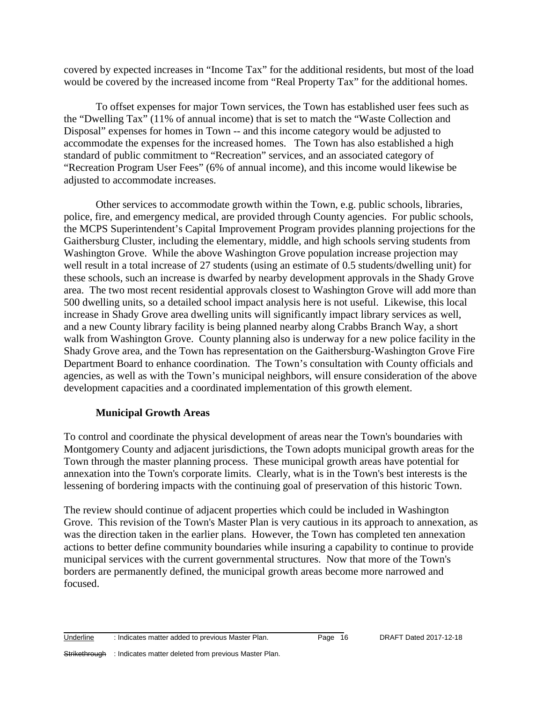covered by expected increases in "Income Tax" for the additional residents, but most of the load would be covered by the increased income from "Real Property Tax" for the additional homes.

To offset expenses for major Town services, the Town has established user fees such as the "Dwelling Tax" (11% of annual income) that is set to match the "Waste Collection and Disposal" expenses for homes in Town -- and this income category would be adjusted to accommodate the expenses for the increased homes. The Town has also established a high standard of public commitment to "Recreation" services, and an associated category of "Recreation Program User Fees" (6% of annual income), and this income would likewise be adjusted to accommodate increases.

Other services to accommodate growth within the Town, e.g. public schools, libraries, police, fire, and emergency medical, are provided through County agencies. For public schools, the MCPS Superintendent's Capital Improvement Program provides planning projections for the Gaithersburg Cluster, including the elementary, middle, and high schools serving students from Washington Grove. While the above Washington Grove population increase projection may well result in a total increase of 27 students (using an estimate of 0.5 students/dwelling unit) for these schools, such an increase is dwarfed by nearby development approvals in the Shady Grove area. The two most recent residential approvals closest to Washington Grove will add more than 500 dwelling units, so a detailed school impact analysis here is not useful. Likewise, this local increase in Shady Grove area dwelling units will significantly impact library services as well, and a new County library facility is being planned nearby along Crabbs Branch Way, a short walk from Washington Grove. County planning also is underway for a new police facility in the Shady Grove area, and the Town has representation on the Gaithersburg-Washington Grove Fire Department Board to enhance coordination. The Town's consultation with County officials and agencies, as well as with the Town's municipal neighbors, will ensure consideration of the above development capacities and a coordinated implementation of this growth element.

#### **Municipal Growth Areas**

To control and coordinate the physical development of areas near the Town's boundaries with Montgomery County and adjacent jurisdictions, the Town adopts municipal growth areas for the Town through the master planning process. These municipal growth areas have potential for annexation into the Town's corporate limits. Clearly, what is in the Town's best interests is the lessening of bordering impacts with the continuing goal of preservation of this historic Town.

The review should continue of adjacent properties which could be included in Washington Grove. This revision of the Town's Master Plan is very cautious in its approach to annexation, as was the direction taken in the earlier plans. However, the Town has completed ten annexation actions to better define community boundaries while insuring a capability to continue to provide municipal services with the current governmental structures. Now that more of the Town's borders are permanently defined, the municipal growth areas become more narrowed and focused.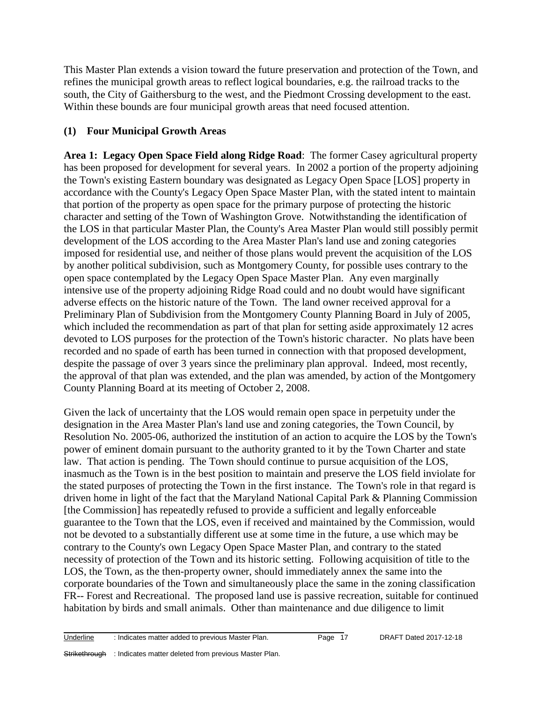This Master Plan extends a vision toward the future preservation and protection of the Town, and refines the municipal growth areas to reflect logical boundaries, e.g. the railroad tracks to the south, the City of Gaithersburg to the west, and the Piedmont Crossing development to the east. Within these bounds are four municipal growth areas that need focused attention.

# **(1) Four Municipal Growth Areas**

**Area 1: Legacy Open Space Field along Ridge Road**: The former Casey agricultural property has been proposed for development for several years. In 2002 a portion of the property adjoining the Town's existing Eastern boundary was designated as Legacy Open Space [LOS] property in accordance with the County's Legacy Open Space Master Plan, with the stated intent to maintain that portion of the property as open space for the primary purpose of protecting the historic character and setting of the Town of Washington Grove. Notwithstanding the identification of the LOS in that particular Master Plan, the County's Area Master Plan would still possibly permit development of the LOS according to the Area Master Plan's land use and zoning categories imposed for residential use, and neither of those plans would prevent the acquisition of the LOS by another political subdivision, such as Montgomery County, for possible uses contrary to the open space contemplated by the Legacy Open Space Master Plan. Any even marginally intensive use of the property adjoining Ridge Road could and no doubt would have significant adverse effects on the historic nature of the Town. The land owner received approval for a Preliminary Plan of Subdivision from the Montgomery County Planning Board in July of 2005, which included the recommendation as part of that plan for setting aside approximately 12 acres devoted to LOS purposes for the protection of the Town's historic character. No plats have been recorded and no spade of earth has been turned in connection with that proposed development, despite the passage of over 3 years since the preliminary plan approval. Indeed, most recently, the approval of that plan was extended, and the plan was amended, by action of the Montgomery County Planning Board at its meeting of October 2, 2008.

Given the lack of uncertainty that the LOS would remain open space in perpetuity under the designation in the Area Master Plan's land use and zoning categories, the Town Council, by Resolution No. 2005-06, authorized the institution of an action to acquire the LOS by the Town's power of eminent domain pursuant to the authority granted to it by the Town Charter and state law. That action is pending. The Town should continue to pursue acquisition of the LOS, inasmuch as the Town is in the best position to maintain and preserve the LOS field inviolate for the stated purposes of protecting the Town in the first instance. The Town's role in that regard is driven home in light of the fact that the Maryland National Capital Park & Planning Commission [the Commission] has repeatedly refused to provide a sufficient and legally enforceable guarantee to the Town that the LOS, even if received and maintained by the Commission, would not be devoted to a substantially different use at some time in the future, a use which may be contrary to the County's own Legacy Open Space Master Plan, and contrary to the stated necessity of protection of the Town and its historic setting. Following acquisition of title to the LOS, the Town, as the then-property owner, should immediately annex the same into the corporate boundaries of the Town and simultaneously place the same in the zoning classification FR-- Forest and Recreational. The proposed land use is passive recreation, suitable for continued habitation by birds and small animals. Other than maintenance and due diligence to limit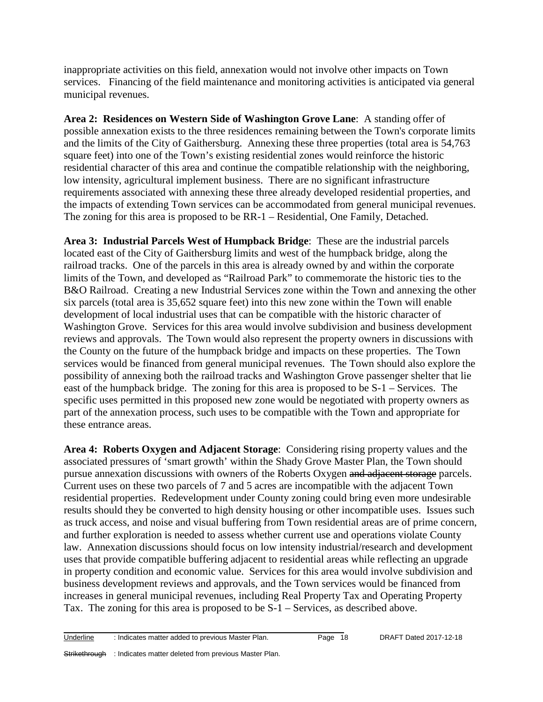inappropriate activities on this field, annexation would not involve other impacts on Town services. Financing of the field maintenance and monitoring activities is anticipated via general municipal revenues.

**Area 2: Residences on Western Side of Washington Grove Lane**: A standing offer of possible annexation exists to the three residences remaining between the Town's corporate limits and the limits of the City of Gaithersburg. Annexing these three properties (total area is 54,763 square feet) into one of the Town's existing residential zones would reinforce the historic residential character of this area and continue the compatible relationship with the neighboring, low intensity, agricultural implement business. There are no significant infrastructure requirements associated with annexing these three already developed residential properties, and the impacts of extending Town services can be accommodated from general municipal revenues. The zoning for this area is proposed to be RR-1 – Residential, One Family, Detached.

**Area 3: Industrial Parcels West of Humpback Bridge**: These are the industrial parcels located east of the City of Gaithersburg limits and west of the humpback bridge, along the railroad tracks. One of the parcels in this area is already owned by and within the corporate limits of the Town, and developed as "Railroad Park" to commemorate the historic ties to the B&O Railroad. Creating a new Industrial Services zone within the Town and annexing the other six parcels (total area is 35,652 square feet) into this new zone within the Town will enable development of local industrial uses that can be compatible with the historic character of Washington Grove. Services for this area would involve subdivision and business development reviews and approvals. The Town would also represent the property owners in discussions with the County on the future of the humpback bridge and impacts on these properties. The Town services would be financed from general municipal revenues. The Town should also explore the possibility of annexing both the railroad tracks and Washington Grove passenger shelter that lie east of the humpback bridge. The zoning for this area is proposed to be S-1 – Services. The specific uses permitted in this proposed new zone would be negotiated with property owners as part of the annexation process, such uses to be compatible with the Town and appropriate for these entrance areas.

**Area 4: Roberts Oxygen and Adjacent Storage**: Considering rising property values and the associated pressures of 'smart growth' within the Shady Grove Master Plan, the Town should pursue annexation discussions with owners of the Roberts Oxygen and adjacent storage parcels. Current uses on these two parcels of 7 and 5 acres are incompatible with the adjacent Town residential properties. Redevelopment under County zoning could bring even more undesirable results should they be converted to high density housing or other incompatible uses. Issues such as truck access, and noise and visual buffering from Town residential areas are of prime concern, and further exploration is needed to assess whether current use and operations violate County law. Annexation discussions should focus on low intensity industrial/research and development uses that provide compatible buffering adjacent to residential areas while reflecting an upgrade in property condition and economic value. Services for this area would involve subdivision and business development reviews and approvals, and the Town services would be financed from increases in general municipal revenues, including Real Property Tax and Operating Property Tax. The zoning for this area is proposed to be S-1 – Services, as described above.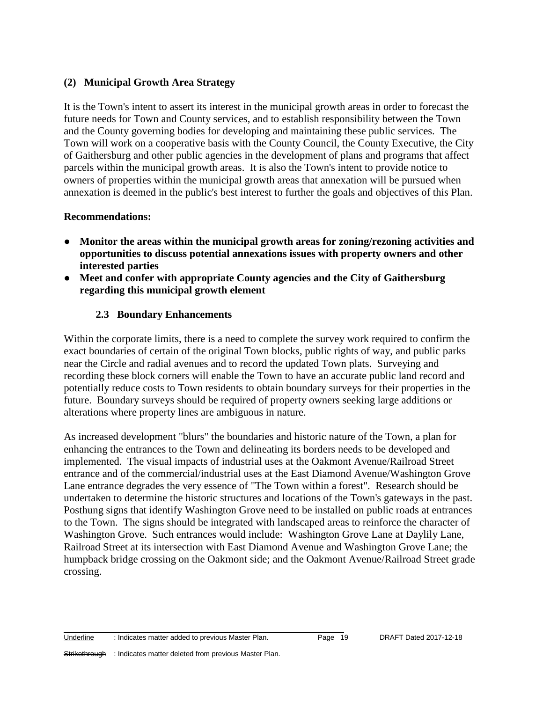#### **(2) Municipal Growth Area Strategy**

It is the Town's intent to assert its interest in the municipal growth areas in order to forecast the future needs for Town and County services, and to establish responsibility between the Town and the County governing bodies for developing and maintaining these public services. The Town will work on a cooperative basis with the County Council, the County Executive, the City of Gaithersburg and other public agencies in the development of plans and programs that affect parcels within the municipal growth areas. It is also the Town's intent to provide notice to owners of properties within the municipal growth areas that annexation will be pursued when annexation is deemed in the public's best interest to further the goals and objectives of this Plan.

#### **Recommendations:**

- **Monitor the areas within the municipal growth areas for zoning/rezoning activities and opportunities to discuss potential annexations issues with property owners and other interested parties**
- Meet and confer with appropriate County agencies and the City of Gaithersburg **regarding this municipal growth element**

# **2.3 Boundary Enhancements**

Within the corporate limits, there is a need to complete the survey work required to confirm the exact boundaries of certain of the original Town blocks, public rights of way, and public parks near the Circle and radial avenues and to record the updated Town plats. Surveying and recording these block corners will enable the Town to have an accurate public land record and potentially reduce costs to Town residents to obtain boundary surveys for their properties in the future. Boundary surveys should be required of property owners seeking large additions or alterations where property lines are ambiguous in nature.

As increased development "blurs" the boundaries and historic nature of the Town, a plan for enhancing the entrances to the Town and delineating its borders needs to be developed and implemented. The visual impacts of industrial uses at the Oakmont Avenue/Railroad Street entrance and of the commercial/industrial uses at the East Diamond Avenue/Washington Grove Lane entrance degrades the very essence of "The Town within a forest". Research should be undertaken to determine the historic structures and locations of the Town's gateways in the past. Posthung signs that identify Washington Grove need to be installed on public roads at entrances to the Town. The signs should be integrated with landscaped areas to reinforce the character of Washington Grove. Such entrances would include: Washington Grove Lane at Daylily Lane, Railroad Street at its intersection with East Diamond Avenue and Washington Grove Lane; the humpback bridge crossing on the Oakmont side; and the Oakmont Avenue/Railroad Street grade crossing.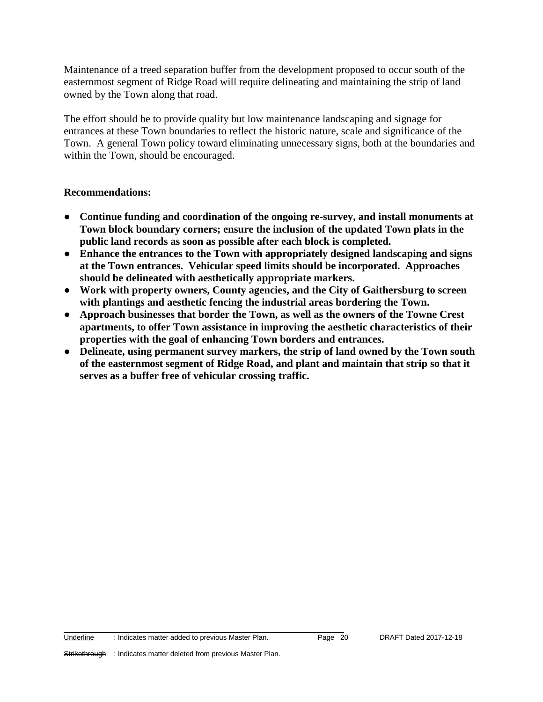Maintenance of a treed separation buffer from the development proposed to occur south of the easternmost segment of Ridge Road will require delineating and maintaining the strip of land owned by the Town along that road.

The effort should be to provide quality but low maintenance landscaping and signage for entrances at these Town boundaries to reflect the historic nature, scale and significance of the Town. A general Town policy toward eliminating unnecessary signs, both at the boundaries and within the Town, should be encouraged.

#### **Recommendations:**

- **Continue funding and coordination of the ongoing re-survey, and install monuments at Town block boundary corners; ensure the inclusion of the updated Town plats in the public land records as soon as possible after each block is completed.**
- **Enhance the entrances to the Town with appropriately designed landscaping and signs at the Town entrances. Vehicular speed limits should be incorporated. Approaches should be delineated with aesthetically appropriate markers.**
- **Work with property owners, County agencies, and the City of Gaithersburg to screen with plantings and aesthetic fencing the industrial areas bordering the Town.**
- **Approach businesses that border the Town, as well as the owners of the Towne Crest apartments, to offer Town assistance in improving the aesthetic characteristics of their properties with the goal of enhancing Town borders and entrances.**
- **Delineate, using permanent survey markers, the strip of land owned by the Town south of the easternmost segment of Ridge Road, and plant and maintain that strip so that it serves as a buffer free of vehicular crossing traffic.**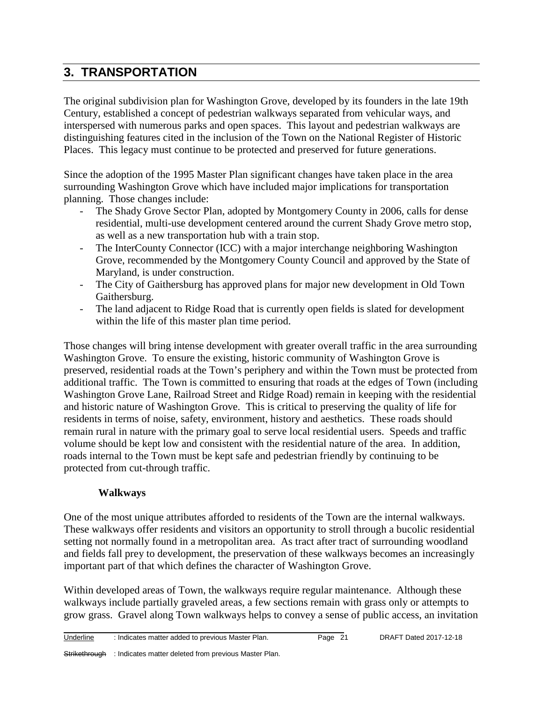# **3. TRANSPORTATION**

The original subdivision plan for Washington Grove, developed by its founders in the late 19th Century, established a concept of pedestrian walkways separated from vehicular ways, and interspersed with numerous parks and open spaces. This layout and pedestrian walkways are distinguishing features cited in the inclusion of the Town on the National Register of Historic Places. This legacy must continue to be protected and preserved for future generations.

Since the adoption of the 1995 Master Plan significant changes have taken place in the area surrounding Washington Grove which have included major implications for transportation planning. Those changes include:

- The Shady Grove Sector Plan, adopted by Montgomery County in 2006, calls for dense residential, multi-use development centered around the current Shady Grove metro stop, as well as a new transportation hub with a train stop.
- The InterCounty Connector (ICC) with a major interchange neighboring Washington Grove, recommended by the Montgomery County Council and approved by the State of Maryland, is under construction.
- The City of Gaithersburg has approved plans for major new development in Old Town Gaithersburg.
- The land adjacent to Ridge Road that is currently open fields is slated for development within the life of this master plan time period.

Those changes will bring intense development with greater overall traffic in the area surrounding Washington Grove. To ensure the existing, historic community of Washington Grove is preserved, residential roads at the Town's periphery and within the Town must be protected from additional traffic. The Town is committed to ensuring that roads at the edges of Town (including Washington Grove Lane, Railroad Street and Ridge Road) remain in keeping with the residential and historic nature of Washington Grove. This is critical to preserving the quality of life for residents in terms of noise, safety, environment, history and aesthetics. These roads should remain rural in nature with the primary goal to serve local residential users. Speeds and traffic volume should be kept low and consistent with the residential nature of the area. In addition, roads internal to the Town must be kept safe and pedestrian friendly by continuing to be protected from cut-through traffic.

# **Walkways**

One of the most unique attributes afforded to residents of the Town are the internal walkways. These walkways offer residents and visitors an opportunity to stroll through a bucolic residential setting not normally found in a metropolitan area. As tract after tract of surrounding woodland and fields fall prey to development, the preservation of these walkways becomes an increasingly important part of that which defines the character of Washington Grove.

Within developed areas of Town, the walkways require regular maintenance. Although these walkways include partially graveled areas, a few sections remain with grass only or attempts to grow grass. Gravel along Town walkways helps to convey a sense of public access, an invitation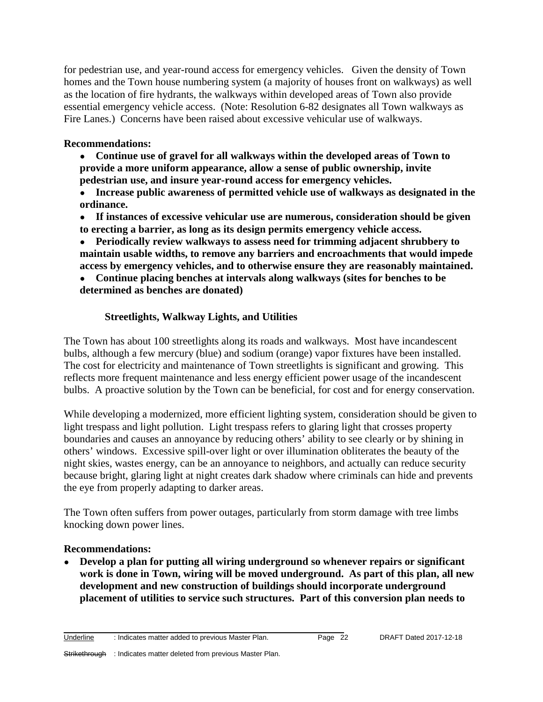for pedestrian use, and year-round access for emergency vehicles. Given the density of Town homes and the Town house numbering system (a majority of houses front on walkways) as well as the location of fire hydrants, the walkways within developed areas of Town also provide essential emergency vehicle access. (Note: Resolution 6-82 designates all Town walkways as Fire Lanes.) Concerns have been raised about excessive vehicular use of walkways.

#### **Recommendations:**

- **Continue use of gravel for all walkways within the developed areas of Town to provide a more uniform appearance, allow a sense of public ownership, invite pedestrian use, and insure year-round access for emergency vehicles.**
- **Increase public awareness of permitted vehicle use of walkways as designated in the ordinance.**
- **If instances of excessive vehicular use are numerous, consideration should be given to erecting a barrier, as long as its design permits emergency vehicle access.**
- **Periodically review walkways to assess need for trimming adjacent shrubbery to maintain usable widths, to remove any barriers and encroachments that would impede access by emergency vehicles, and to otherwise ensure they are reasonably maintained.**
- **Continue placing benches at intervals along walkways (sites for benches to be determined as benches are donated)**

#### **Streetlights, Walkway Lights, and Utilities**

The Town has about 100 streetlights along its roads and walkways. Most have incandescent bulbs, although a few mercury (blue) and sodium (orange) vapor fixtures have been installed. The cost for electricity and maintenance of Town streetlights is significant and growing. This reflects more frequent maintenance and less energy efficient power usage of the incandescent bulbs. A proactive solution by the Town can be beneficial, for cost and for energy conservation.

While developing a modernized, more efficient lighting system, consideration should be given to light trespass and light pollution. Light trespass refers to glaring light that crosses property boundaries and causes an annoyance by reducing others' ability to see clearly or by shining in others' windows. Excessive spill-over light or over illumination obliterates the beauty of the night skies, wastes energy, can be an annoyance to neighbors, and actually can reduce security because bright, glaring light at night creates dark shadow where criminals can hide and prevents the eye from properly adapting to darker areas.

The Town often suffers from power outages, particularly from storm damage with tree limbs knocking down power lines.

#### **Recommendations:**

● **Develop a plan for putting all wiring underground so whenever repairs or significant work is done in Town, wiring will be moved underground. As part of this plan, all new development and new construction of buildings should incorporate underground placement of utilities to service such structures. Part of this conversion plan needs to**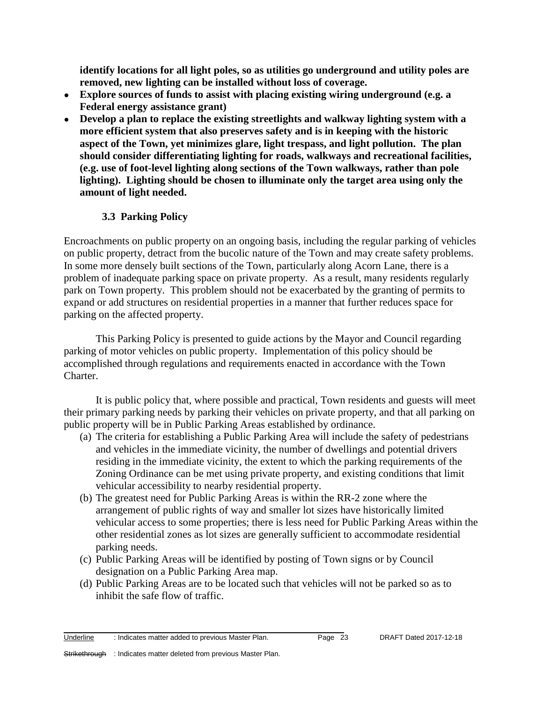**identify locations for all light poles, so as utilities go underground and utility poles are removed, new lighting can be installed without loss of coverage.**

- **Explore sources of funds to assist with placing existing wiring underground (e.g. a Federal energy assistance grant)**
- **Develop a plan to replace the existing streetlights and walkway lighting system with a more efficient system that also preserves safety and is in keeping with the historic aspect of the Town, yet minimizes glare, light trespass, and light pollution. The plan should consider differentiating lighting for roads, walkways and recreational facilities, (e.g. use of foot-level lighting along sections of the Town walkways, rather than pole lighting). Lighting should be chosen to illuminate only the target area using only the amount of light needed.**

# **3.3 Parking Policy**

Encroachments on public property on an ongoing basis, including the regular parking of vehicles on public property, detract from the bucolic nature of the Town and may create safety problems. In some more densely built sections of the Town, particularly along Acorn Lane, there is a problem of inadequate parking space on private property. As a result, many residents regularly park on Town property. This problem should not be exacerbated by the granting of permits to expand or add structures on residential properties in a manner that further reduces space for parking on the affected property.

This Parking Policy is presented to guide actions by the Mayor and Council regarding parking of motor vehicles on public property. Implementation of this policy should be accomplished through regulations and requirements enacted in accordance with the Town Charter.

It is public policy that, where possible and practical, Town residents and guests will meet their primary parking needs by parking their vehicles on private property, and that all parking on public property will be in Public Parking Areas established by ordinance.

- (a) The criteria for establishing a Public Parking Area will include the safety of pedestrians and vehicles in the immediate vicinity, the number of dwellings and potential drivers residing in the immediate vicinity, the extent to which the parking requirements of the Zoning Ordinance can be met using private property, and existing conditions that limit vehicular accessibility to nearby residential property.
- (b) The greatest need for Public Parking Areas is within the RR-2 zone where the arrangement of public rights of way and smaller lot sizes have historically limited vehicular access to some properties; there is less need for Public Parking Areas within the other residential zones as lot sizes are generally sufficient to accommodate residential parking needs.
- (c) Public Parking Areas will be identified by posting of Town signs or by Council designation on a Public Parking Area map.
- (d) Public Parking Areas are to be located such that vehicles will not be parked so as to inhibit the safe flow of traffic.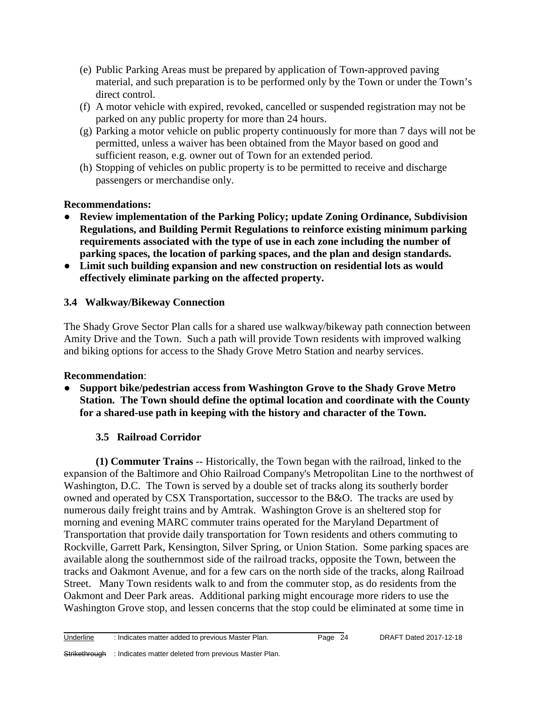- (e) Public Parking Areas must be prepared by application of Town-approved paving material, and such preparation is to be performed only by the Town or under the Town's direct control.
- (f) A motor vehicle with expired, revoked, cancelled or suspended registration may not be parked on any public property for more than 24 hours.
- (g) Parking a motor vehicle on public property continuously for more than 7 days will not be permitted, unless a waiver has been obtained from the Mayor based on good and sufficient reason, e.g. owner out of Town for an extended period.
- (h) Stopping of vehicles on public property is to be permitted to receive and discharge passengers or merchandise only.

# **Recommendations:**

- **Review implementation of the Parking Policy; update Zoning Ordinance, Subdivision Regulations, and Building Permit Regulations to reinforce existing minimum parking requirements associated with the type of use in each zone including the number of parking spaces, the location of parking spaces, and the plan and design standards.**
- **Limit such building expansion and new construction on residential lots as would effectively eliminate parking on the affected property.**

# **3.4 Walkway/Bikeway Connection**

The Shady Grove Sector Plan calls for a shared use walkway/bikeway path connection between Amity Drive and the Town. Such a path will provide Town residents with improved walking and biking options for access to the Shady Grove Metro Station and nearby services.

# **Recommendation**:

● **Support bike/pedestrian access from Washington Grove to the Shady Grove Metro Station. The Town should define the optimal location and coordinate with the County for a shared-use path in keeping with the history and character of the Town.** 

# **3.5 Railroad Corridor**

**(1) Commuter Trains** -- Historically, the Town began with the railroad, linked to the expansion of the Baltimore and Ohio Railroad Company's Metropolitan Line to the northwest of Washington, D.C. The Town is served by a double set of tracks along its southerly border owned and operated by CSX Transportation, successor to the B&O. The tracks are used by numerous daily freight trains and by Amtrak. Washington Grove is an sheltered stop for morning and evening MARC commuter trains operated for the Maryland Department of Transportation that provide daily transportation for Town residents and others commuting to Rockville, Garrett Park, Kensington, Silver Spring, or Union Station. Some parking spaces are available along the southernmost side of the railroad tracks, opposite the Town, between the tracks and Oakmont Avenue, and for a few cars on the north side of the tracks, along Railroad Street. Many Town residents walk to and from the commuter stop, as do residents from the Oakmont and Deer Park areas. Additional parking might encourage more riders to use the Washington Grove stop, and lessen concerns that the stop could be eliminated at some time in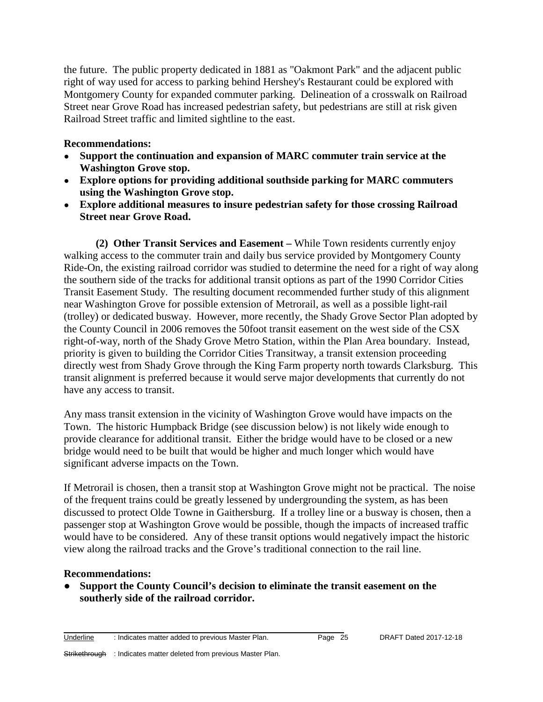the future. The public property dedicated in 1881 as "Oakmont Park" and the adjacent public right of way used for access to parking behind Hershey's Restaurant could be explored with Montgomery County for expanded commuter parking. Delineation of a crosswalk on Railroad Street near Grove Road has increased pedestrian safety, but pedestrians are still at risk given Railroad Street traffic and limited sightline to the east.

#### **Recommendations:**

- **Support the continuation and expansion of MARC commuter train service at the Washington Grove stop.**
- **Explore options for providing additional southside parking for MARC commuters using the Washington Grove stop.**
- **Explore additional measures to insure pedestrian safety for those crossing Railroad Street near Grove Road.**

**(2) Other Transit Services and Easement –** While Town residents currently enjoy walking access to the commuter train and daily bus service provided by Montgomery County Ride-On, the existing railroad corridor was studied to determine the need for a right of way along the southern side of the tracks for additional transit options as part of the 1990 Corridor Cities Transit Easement Study. The resulting document recommended further study of this alignment near Washington Grove for possible extension of Metrorail, as well as a possible light-rail (trolley) or dedicated busway. However, more recently, the Shady Grove Sector Plan adopted by the County Council in 2006 removes the 50foot transit easement on the west side of the CSX right-of-way, north of the Shady Grove Metro Station, within the Plan Area boundary. Instead, priority is given to building the Corridor Cities Transitway, a transit extension proceeding directly west from Shady Grove through the King Farm property north towards Clarksburg. This transit alignment is preferred because it would serve major developments that currently do not have any access to transit.

Any mass transit extension in the vicinity of Washington Grove would have impacts on the Town. The historic Humpback Bridge (see discussion below) is not likely wide enough to provide clearance for additional transit. Either the bridge would have to be closed or a new bridge would need to be built that would be higher and much longer which would have significant adverse impacts on the Town.

If Metrorail is chosen, then a transit stop at Washington Grove might not be practical. The noise of the frequent trains could be greatly lessened by undergrounding the system, as has been discussed to protect Olde Towne in Gaithersburg. If a trolley line or a busway is chosen, then a passenger stop at Washington Grove would be possible, though the impacts of increased traffic would have to be considered. Any of these transit options would negatively impact the historic view along the railroad tracks and the Grove's traditional connection to the rail line.

#### **Recommendations:**

● **Support the County Council's decision to eliminate the transit easement on the southerly side of the railroad corridor.**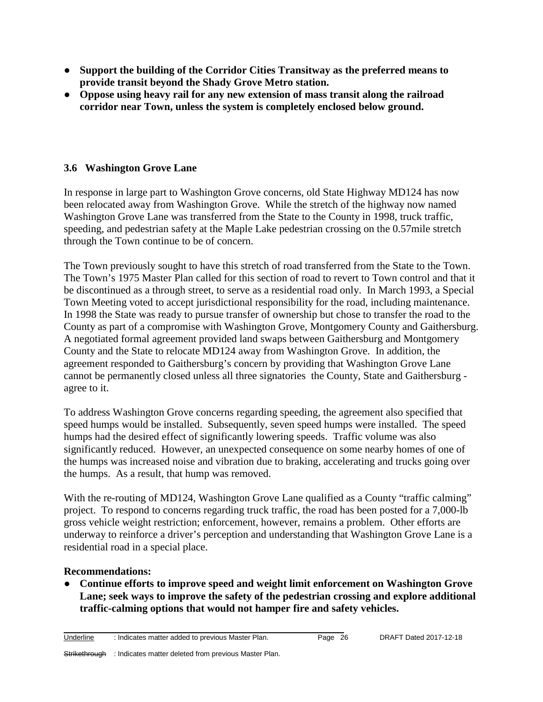- **Support the building of the Corridor Cities Transitway as the preferred means to provide transit beyond the Shady Grove Metro station.**
- **Oppose using heavy rail for any new extension of mass transit along the railroad corridor near Town, unless the system is completely enclosed below ground.**

# **3.6 Washington Grove Lane**

In response in large part to Washington Grove concerns, old State Highway MD124 has now been relocated away from Washington Grove. While the stretch of the highway now named Washington Grove Lane was transferred from the State to the County in 1998, truck traffic, speeding, and pedestrian safety at the Maple Lake pedestrian crossing on the 0.57mile stretch through the Town continue to be of concern.

The Town previously sought to have this stretch of road transferred from the State to the Town. The Town's 1975 Master Plan called for this section of road to revert to Town control and that it be discontinued as a through street, to serve as a residential road only. In March 1993, a Special Town Meeting voted to accept jurisdictional responsibility for the road, including maintenance. In 1998 the State was ready to pursue transfer of ownership but chose to transfer the road to the County as part of a compromise with Washington Grove, Montgomery County and Gaithersburg. A negotiated formal agreement provided land swaps between Gaithersburg and Montgomery County and the State to relocate MD124 away from Washington Grove. In addition, the agreement responded to Gaithersburg's concern by providing that Washington Grove Lane cannot be permanently closed unless all three signatories the County, State and Gaithersburg agree to it.

To address Washington Grove concerns regarding speeding, the agreement also specified that speed humps would be installed. Subsequently, seven speed humps were installed. The speed humps had the desired effect of significantly lowering speeds. Traffic volume was also significantly reduced. However, an unexpected consequence on some nearby homes of one of the humps was increased noise and vibration due to braking, accelerating and trucks going over the humps. As a result, that hump was removed.

With the re-routing of MD124, Washington Grove Lane qualified as a County "traffic calming" project. To respond to concerns regarding truck traffic, the road has been posted for a 7,000-lb gross vehicle weight restriction; enforcement, however, remains a problem. Other efforts are underway to reinforce a driver's perception and understanding that Washington Grove Lane is a residential road in a special place.

#### **Recommendations:**

● **Continue efforts to improve speed and weight limit enforcement on Washington Grove Lane; seek ways to improve the safety of the pedestrian crossing and explore additional traffic-calming options that would not hamper fire and safety vehicles.**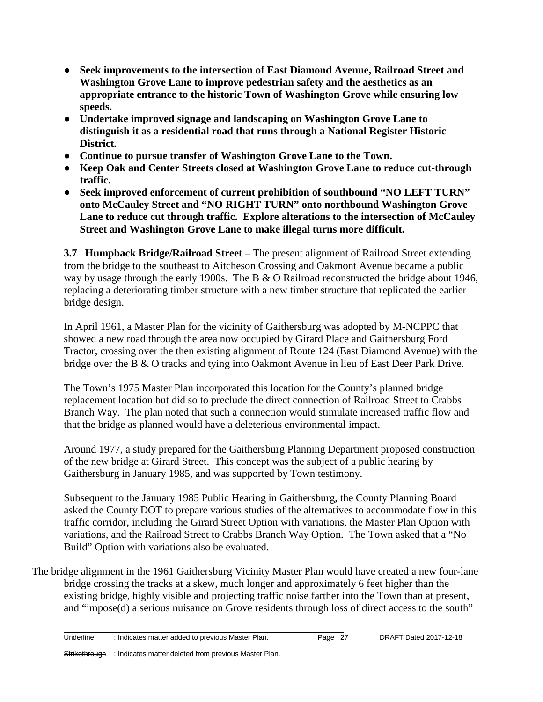- **Seek improvements to the intersection of East Diamond Avenue, Railroad Street and Washington Grove Lane to improve pedestrian safety and the aesthetics as an appropriate entrance to the historic Town of Washington Grove while ensuring low speeds.**
- **Undertake improved signage and landscaping on Washington Grove Lane to distinguish it as a residential road that runs through a National Register Historic District.**
- **Continue to pursue transfer of Washington Grove Lane to the Town.**
- **Keep Oak and Center Streets closed at Washington Grove Lane to reduce cut-through traffic.**
- **Seek improved enforcement of current prohibition of southbound "NO LEFT TURN" onto McCauley Street and "NO RIGHT TURN" onto northbound Washington Grove Lane to reduce cut through traffic. Explore alterations to the intersection of McCauley Street and Washington Grove Lane to make illegal turns more difficult.**

**3.7 Humpback Bridge/Railroad Street** – The present alignment of Railroad Street extending from the bridge to the southeast to Aitcheson Crossing and Oakmont Avenue became a public way by usage through the early 1900s. The B & O Railroad reconstructed the bridge about 1946, replacing a deteriorating timber structure with a new timber structure that replicated the earlier bridge design.

In April 1961, a Master Plan for the vicinity of Gaithersburg was adopted by M-NCPPC that showed a new road through the area now occupied by Girard Place and Gaithersburg Ford Tractor, crossing over the then existing alignment of Route 124 (East Diamond Avenue) with the bridge over the B & O tracks and tying into Oakmont Avenue in lieu of East Deer Park Drive.

The Town's 1975 Master Plan incorporated this location for the County's planned bridge replacement location but did so to preclude the direct connection of Railroad Street to Crabbs Branch Way. The plan noted that such a connection would stimulate increased traffic flow and that the bridge as planned would have a deleterious environmental impact.

Around 1977, a study prepared for the Gaithersburg Planning Department proposed construction of the new bridge at Girard Street. This concept was the subject of a public hearing by Gaithersburg in January 1985, and was supported by Town testimony.

Subsequent to the January 1985 Public Hearing in Gaithersburg, the County Planning Board asked the County DOT to prepare various studies of the alternatives to accommodate flow in this traffic corridor, including the Girard Street Option with variations, the Master Plan Option with variations, and the Railroad Street to Crabbs Branch Way Option. The Town asked that a "No Build" Option with variations also be evaluated.

The bridge alignment in the 1961 Gaithersburg Vicinity Master Plan would have created a new four-lane bridge crossing the tracks at a skew, much longer and approximately 6 feet higher than the existing bridge, highly visible and projecting traffic noise farther into the Town than at present, and "impose(d) a serious nuisance on Grove residents through loss of direct access to the south"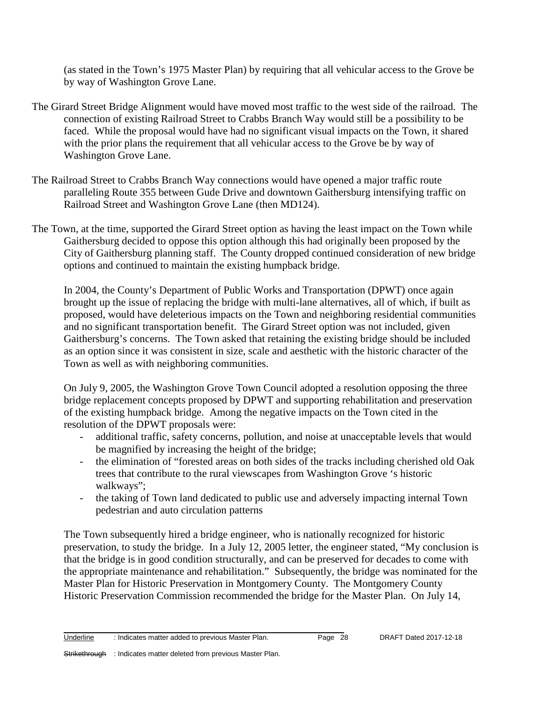(as stated in the Town's 1975 Master Plan) by requiring that all vehicular access to the Grove be by way of Washington Grove Lane.

- The Girard Street Bridge Alignment would have moved most traffic to the west side of the railroad. The connection of existing Railroad Street to Crabbs Branch Way would still be a possibility to be faced. While the proposal would have had no significant visual impacts on the Town, it shared with the prior plans the requirement that all vehicular access to the Grove be by way of Washington Grove Lane.
- The Railroad Street to Crabbs Branch Way connections would have opened a major traffic route paralleling Route 355 between Gude Drive and downtown Gaithersburg intensifying traffic on Railroad Street and Washington Grove Lane (then MD124).
- The Town, at the time, supported the Girard Street option as having the least impact on the Town while Gaithersburg decided to oppose this option although this had originally been proposed by the City of Gaithersburg planning staff. The County dropped continued consideration of new bridge options and continued to maintain the existing humpback bridge.

In 2004, the County's Department of Public Works and Transportation (DPWT) once again brought up the issue of replacing the bridge with multi-lane alternatives, all of which, if built as proposed, would have deleterious impacts on the Town and neighboring residential communities and no significant transportation benefit. The Girard Street option was not included, given Gaithersburg's concerns. The Town asked that retaining the existing bridge should be included as an option since it was consistent in size, scale and aesthetic with the historic character of the Town as well as with neighboring communities.

On July 9, 2005, the Washington Grove Town Council adopted a resolution opposing the three bridge replacement concepts proposed by DPWT and supporting rehabilitation and preservation of the existing humpback bridge. Among the negative impacts on the Town cited in the resolution of the DPWT proposals were:

- additional traffic, safety concerns, pollution, and noise at unacceptable levels that would be magnified by increasing the height of the bridge;
- the elimination of "forested areas on both sides of the tracks including cherished old Oak trees that contribute to the rural viewscapes from Washington Grove 's historic walkways";
- the taking of Town land dedicated to public use and adversely impacting internal Town pedestrian and auto circulation patterns

The Town subsequently hired a bridge engineer, who is nationally recognized for historic preservation, to study the bridge. In a July 12, 2005 letter, the engineer stated, "My conclusion is that the bridge is in good condition structurally, and can be preserved for decades to come with the appropriate maintenance and rehabilitation." Subsequently, the bridge was nominated for the Master Plan for Historic Preservation in Montgomery County. The Montgomery County Historic Preservation Commission recommended the bridge for the Master Plan. On July 14,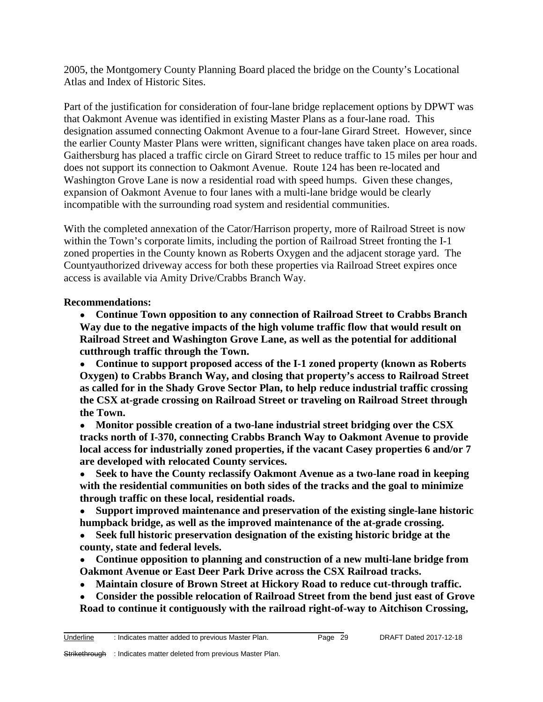2005, the Montgomery County Planning Board placed the bridge on the County's Locational Atlas and Index of Historic Sites.

Part of the justification for consideration of four-lane bridge replacement options by DPWT was that Oakmont Avenue was identified in existing Master Plans as a four-lane road. This designation assumed connecting Oakmont Avenue to a four-lane Girard Street. However, since the earlier County Master Plans were written, significant changes have taken place on area roads. Gaithersburg has placed a traffic circle on Girard Street to reduce traffic to 15 miles per hour and does not support its connection to Oakmont Avenue. Route 124 has been re-located and Washington Grove Lane is now a residential road with speed humps. Given these changes, expansion of Oakmont Avenue to four lanes with a multi-lane bridge would be clearly incompatible with the surrounding road system and residential communities.

With the completed annexation of the Cator/Harrison property, more of Railroad Street is now within the Town's corporate limits, including the portion of Railroad Street fronting the I-1 zoned properties in the County known as Roberts Oxygen and the adjacent storage yard. The Countyauthorized driveway access for both these properties via Railroad Street expires once access is available via Amity Drive/Crabbs Branch Way.

#### **Recommendations:**

● **Continue Town opposition to any connection of Railroad Street to Crabbs Branch Way due to the negative impacts of the high volume traffic flow that would result on Railroad Street and Washington Grove Lane, as well as the potential for additional cutthrough traffic through the Town.**

● **Continue to support proposed access of the I-1 zoned property (known as Roberts Oxygen) to Crabbs Branch Way, and closing that property's access to Railroad Street as called for in the Shady Grove Sector Plan, to help reduce industrial traffic crossing the CSX at-grade crossing on Railroad Street or traveling on Railroad Street through the Town.**

● **Monitor possible creation of a two-lane industrial street bridging over the CSX tracks north of I-370, connecting Crabbs Branch Way to Oakmont Avenue to provide local access for industrially zoned properties, if the vacant Casey properties 6 and/or 7 are developed with relocated County services.**

● **Seek to have the County reclassify Oakmont Avenue as a two-lane road in keeping with the residential communities on both sides of the tracks and the goal to minimize through traffic on these local, residential roads.**

- **Support improved maintenance and preservation of the existing single-lane historic humpback bridge, as well as the improved maintenance of the at-grade crossing.**
- **Seek full historic preservation designation of the existing historic bridge at the county, state and federal levels.**
- **Continue opposition to planning and construction of a new multi-lane bridge from Oakmont Avenue or East Deer Park Drive across the CSX Railroad tracks.**
- **Maintain closure of Brown Street at Hickory Road to reduce cut-through traffic.**
- **Consider the possible relocation of Railroad Street from the bend just east of Grove Road to continue it contiguously with the railroad right-of-way to Aitchison Crossing,**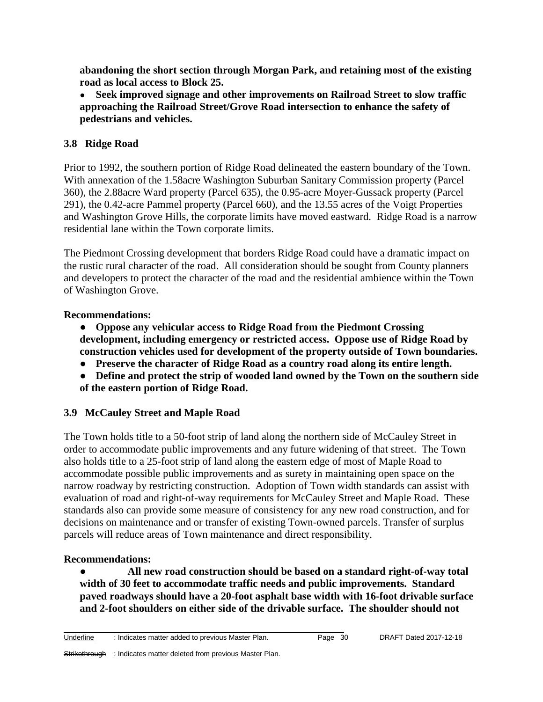**abandoning the short section through Morgan Park, and retaining most of the existing road as local access to Block 25.**

● **Seek improved signage and other improvements on Railroad Street to slow traffic approaching the Railroad Street/Grove Road intersection to enhance the safety of pedestrians and vehicles.**

## **3.8 Ridge Road**

Prior to 1992, the southern portion of Ridge Road delineated the eastern boundary of the Town. With annexation of the 1.58acre Washington Suburban Sanitary Commission property (Parcel 360), the 2.88acre Ward property (Parcel 635), the 0.95-acre Moyer-Gussack property (Parcel 291), the 0.42-acre Pammel property (Parcel 660), and the 13.55 acres of the Voigt Properties and Washington Grove Hills, the corporate limits have moved eastward. Ridge Road is a narrow residential lane within the Town corporate limits.

The Piedmont Crossing development that borders Ridge Road could have a dramatic impact on the rustic rural character of the road. All consideration should be sought from County planners and developers to protect the character of the road and the residential ambience within the Town of Washington Grove.

#### **Recommendations:**

- **Oppose any vehicular access to Ridge Road from the Piedmont Crossing development, including emergency or restricted access. Oppose use of Ridge Road by construction vehicles used for development of the property outside of Town boundaries.**
- **Preserve the character of Ridge Road as a country road along its entire length.**
- **Define and protect the strip of wooded land owned by the Town on the southern side of the eastern portion of Ridge Road.**

# **3.9 McCauley Street and Maple Road**

The Town holds title to a 50-foot strip of land along the northern side of McCauley Street in order to accommodate public improvements and any future widening of that street. The Town also holds title to a 25-foot strip of land along the eastern edge of most of Maple Road to accommodate possible public improvements and as surety in maintaining open space on the narrow roadway by restricting construction. Adoption of Town width standards can assist with evaluation of road and right-of-way requirements for McCauley Street and Maple Road. These standards also can provide some measure of consistency for any new road construction, and for decisions on maintenance and or transfer of existing Town-owned parcels. Transfer of surplus parcels will reduce areas of Town maintenance and direct responsibility.

# **Recommendations:**

● **All new road construction should be based on a standard right-of-way total width of 30 feet to accommodate traffic needs and public improvements. Standard paved roadways should have a 20-foot asphalt base width with 16-foot drivable surface and 2-foot shoulders on either side of the drivable surface. The shoulder should not**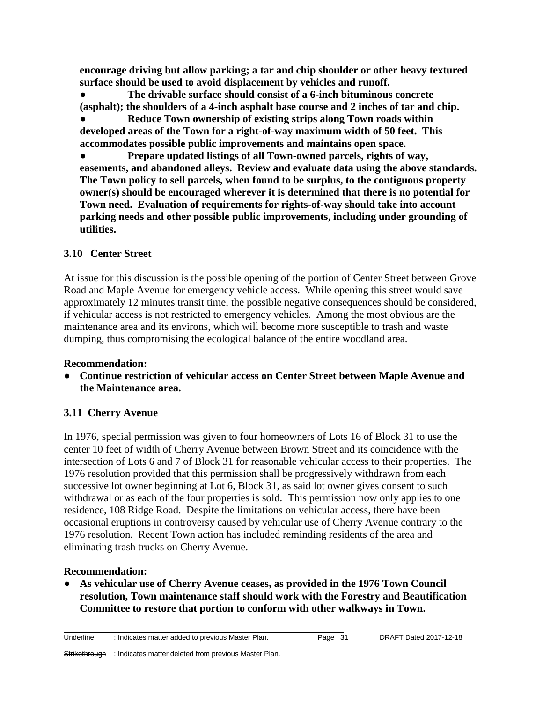**encourage driving but allow parking; a tar and chip shoulder or other heavy textured surface should be used to avoid displacement by vehicles and runoff.**

● **The drivable surface should consist of a 6-inch bituminous concrete (asphalt); the shoulders of a 4-inch asphalt base course and 2 inches of tar and chip.**

● **Reduce Town ownership of existing strips along Town roads within developed areas of the Town for a right-of-way maximum width of 50 feet. This accommodates possible public improvements and maintains open space.**

● **Prepare updated listings of all Town-owned parcels, rights of way, easements, and abandoned alleys. Review and evaluate data using the above standards. The Town policy to sell parcels, when found to be surplus, to the contiguous property owner(s) should be encouraged wherever it is determined that there is no potential for Town need. Evaluation of requirements for rights-of-way should take into account parking needs and other possible public improvements, including under grounding of utilities.**

# **3.10 Center Street**

At issue for this discussion is the possible opening of the portion of Center Street between Grove Road and Maple Avenue for emergency vehicle access. While opening this street would save approximately 12 minutes transit time, the possible negative consequences should be considered, if vehicular access is not restricted to emergency vehicles. Among the most obvious are the maintenance area and its environs, which will become more susceptible to trash and waste dumping, thus compromising the ecological balance of the entire woodland area.

# **Recommendation:**

● **Continue restriction of vehicular access on Center Street between Maple Avenue and the Maintenance area.**

# **3.11 Cherry Avenue**

In 1976, special permission was given to four homeowners of Lots 16 of Block 31 to use the center 10 feet of width of Cherry Avenue between Brown Street and its coincidence with the intersection of Lots 6 and 7 of Block 31 for reasonable vehicular access to their properties. The 1976 resolution provided that this permission shall be progressively withdrawn from each successive lot owner beginning at Lot 6, Block 31, as said lot owner gives consent to such withdrawal or as each of the four properties is sold. This permission now only applies to one residence, 108 Ridge Road. Despite the limitations on vehicular access, there have been occasional eruptions in controversy caused by vehicular use of Cherry Avenue contrary to the 1976 resolution. Recent Town action has included reminding residents of the area and eliminating trash trucks on Cherry Avenue.

# **Recommendation:**

● **As vehicular use of Cherry Avenue ceases, as provided in the 1976 Town Council resolution, Town maintenance staff should work with the Forestry and Beautification Committee to restore that portion to conform with other walkways in Town.**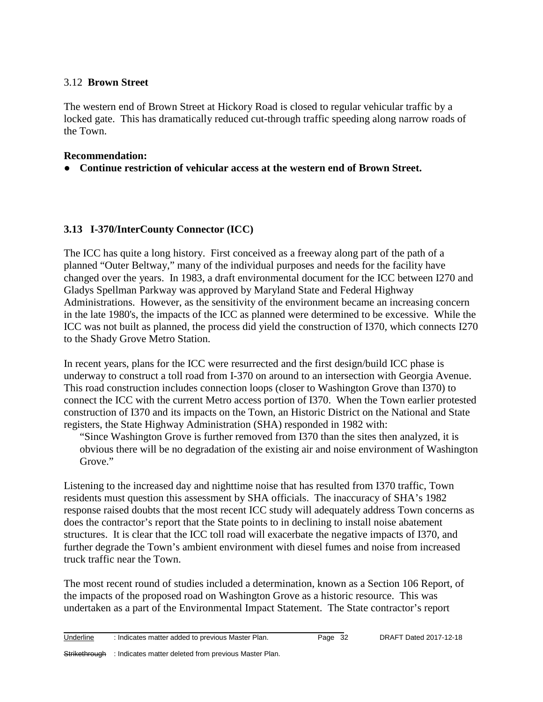#### 3.12 **Brown Street**

The western end of Brown Street at Hickory Road is closed to regular vehicular traffic by a locked gate. This has dramatically reduced cut-through traffic speeding along narrow roads of the Town.

#### **Recommendation:**

● **Continue restriction of vehicular access at the western end of Brown Street.**

#### **3.13 I-370/InterCounty Connector (ICC)**

The ICC has quite a long history. First conceived as a freeway along part of the path of a planned "Outer Beltway," many of the individual purposes and needs for the facility have changed over the years. In 1983, a draft environmental document for the ICC between I270 and Gladys Spellman Parkway was approved by Maryland State and Federal Highway Administrations. However, as the sensitivity of the environment became an increasing concern in the late 1980's, the impacts of the ICC as planned were determined to be excessive. While the ICC was not built as planned, the process did yield the construction of I370, which connects I270 to the Shady Grove Metro Station.

In recent years, plans for the ICC were resurrected and the first design/build ICC phase is underway to construct a toll road from I-370 on around to an intersection with Georgia Avenue. This road construction includes connection loops (closer to Washington Grove than I370) to connect the ICC with the current Metro access portion of I370. When the Town earlier protested construction of I370 and its impacts on the Town, an Historic District on the National and State registers, the State Highway Administration (SHA) responded in 1982 with:

"Since Washington Grove is further removed from I370 than the sites then analyzed, it is obvious there will be no degradation of the existing air and noise environment of Washington Grove."

Listening to the increased day and nighttime noise that has resulted from I370 traffic, Town residents must question this assessment by SHA officials. The inaccuracy of SHA's 1982 response raised doubts that the most recent ICC study will adequately address Town concerns as does the contractor's report that the State points to in declining to install noise abatement structures. It is clear that the ICC toll road will exacerbate the negative impacts of I370, and further degrade the Town's ambient environment with diesel fumes and noise from increased truck traffic near the Town.

The most recent round of studies included a determination, known as a Section 106 Report, of the impacts of the proposed road on Washington Grove as a historic resource. This was undertaken as a part of the Environmental Impact Statement. The State contractor's report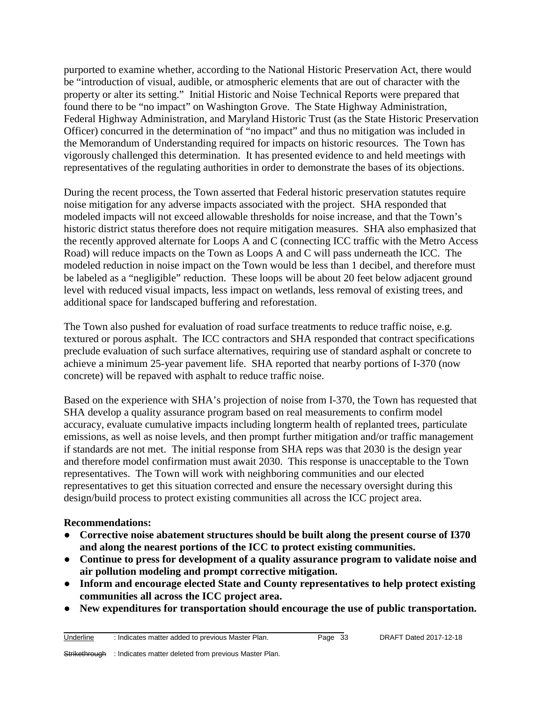purported to examine whether, according to the National Historic Preservation Act, there would be "introduction of visual, audible, or atmospheric elements that are out of character with the property or alter its setting." Initial Historic and Noise Technical Reports were prepared that found there to be "no impact" on Washington Grove. The State Highway Administration, Federal Highway Administration, and Maryland Historic Trust (as the State Historic Preservation Officer) concurred in the determination of "no impact" and thus no mitigation was included in the Memorandum of Understanding required for impacts on historic resources. The Town has vigorously challenged this determination. It has presented evidence to and held meetings with representatives of the regulating authorities in order to demonstrate the bases of its objections.

During the recent process, the Town asserted that Federal historic preservation statutes require noise mitigation for any adverse impacts associated with the project. SHA responded that modeled impacts will not exceed allowable thresholds for noise increase, and that the Town's historic district status therefore does not require mitigation measures. SHA also emphasized that the recently approved alternate for Loops A and C (connecting ICC traffic with the Metro Access Road) will reduce impacts on the Town as Loops A and C will pass underneath the ICC. The modeled reduction in noise impact on the Town would be less than 1 decibel, and therefore must be labeled as a "negligible" reduction. These loops will be about 20 feet below adjacent ground level with reduced visual impacts, less impact on wetlands, less removal of existing trees, and additional space for landscaped buffering and reforestation.

The Town also pushed for evaluation of road surface treatments to reduce traffic noise, e.g. textured or porous asphalt. The ICC contractors and SHA responded that contract specifications preclude evaluation of such surface alternatives, requiring use of standard asphalt or concrete to achieve a minimum 25-year pavement life. SHA reported that nearby portions of I-370 (now concrete) will be repaved with asphalt to reduce traffic noise.

Based on the experience with SHA's projection of noise from I-370, the Town has requested that SHA develop a quality assurance program based on real measurements to confirm model accuracy, evaluate cumulative impacts including longterm health of replanted trees, particulate emissions, as well as noise levels, and then prompt further mitigation and/or traffic management if standards are not met. The initial response from SHA reps was that 2030 is the design year and therefore model confirmation must await 2030. This response is unacceptable to the Town representatives. The Town will work with neighboring communities and our elected representatives to get this situation corrected and ensure the necessary oversight during this design/build process to protect existing communities all across the ICC project area.

#### **Recommendations:**

- **Corrective noise abatement structures should be built along the present course of I370 and along the nearest portions of the ICC to protect existing communities.**
- **Continue to press for development of a quality assurance program to validate noise and air pollution modeling and prompt corrective mitigation.**
- **Inform and encourage elected State and County representatives to help protect existing communities all across the ICC project area.**
- **New expenditures for transportation should encourage the use of public transportation.**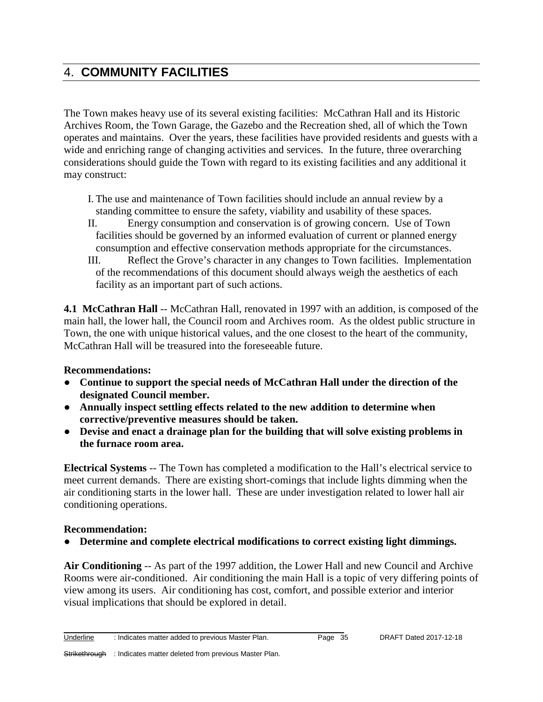# 4. **COMMUNITY FACILITIES**

The Town makes heavy use of its several existing facilities: McCathran Hall and its Historic Archives Room, the Town Garage, the Gazebo and the Recreation shed, all of which the Town operates and maintains. Over the years, these facilities have provided residents and guests with a wide and enriching range of changing activities and services. In the future, three overarching considerations should guide the Town with regard to its existing facilities and any additional it may construct:

- I. The use and maintenance of Town facilities should include an annual review by a standing committee to ensure the safety, viability and usability of these spaces.
- II. Energy consumption and conservation is of growing concern. Use of Town facilities should be governed by an informed evaluation of current or planned energy consumption and effective conservation methods appropriate for the circumstances.
- III. Reflect the Grove's character in any changes to Town facilities. Implementation of the recommendations of this document should always weigh the aesthetics of each facility as an important part of such actions.

**4.1 McCathran Hall** -- McCathran Hall, renovated in 1997 with an addition, is composed of the main hall, the lower hall, the Council room and Archives room. As the oldest public structure in Town, the one with unique historical values, and the one closest to the heart of the community, McCathran Hall will be treasured into the foreseeable future.

#### **Recommendations:**

- **Continue to support the special needs of McCathran Hall under the direction of the designated Council member.**
- **Annually inspect settling effects related to the new addition to determine when corrective/preventive measures should be taken.**
- **Devise and enact a drainage plan for the building that will solve existing problems in the furnace room area.**

**Electrical Systems** -- The Town has completed a modification to the Hall's electrical service to meet current demands. There are existing short-comings that include lights dimming when the air conditioning starts in the lower hall. These are under investigation related to lower hall air conditioning operations.

#### **Recommendation:**

**Determine and complete electrical modifications to correct existing light dimmings.** 

**Air Conditioning** -- As part of the 1997 addition, the Lower Hall and new Council and Archive Rooms were air-conditioned. Air conditioning the main Hall is a topic of very differing points of view among its users. Air conditioning has cost, comfort, and possible exterior and interior visual implications that should be explored in detail.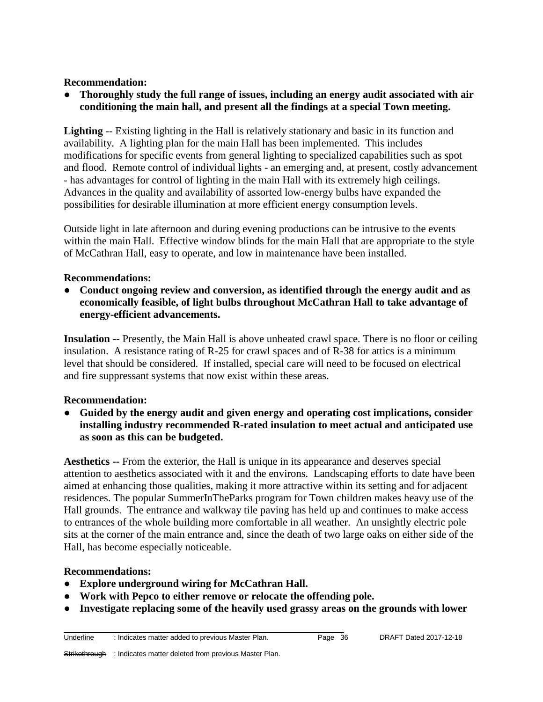#### **Recommendation:**

● **Thoroughly study the full range of issues, including an energy audit associated with air conditioning the main hall, and present all the findings at a special Town meeting.**

**Lighting** -- Existing lighting in the Hall is relatively stationary and basic in its function and availability. A lighting plan for the main Hall has been implemented. This includes modifications for specific events from general lighting to specialized capabilities such as spot and flood. Remote control of individual lights - an emerging and, at present, costly advancement - has advantages for control of lighting in the main Hall with its extremely high ceilings. Advances in the quality and availability of assorted low-energy bulbs have expanded the possibilities for desirable illumination at more efficient energy consumption levels.

Outside light in late afternoon and during evening productions can be intrusive to the events within the main Hall. Effective window blinds for the main Hall that are appropriate to the style of McCathran Hall, easy to operate, and low in maintenance have been installed.

#### **Recommendations:**

● **Conduct ongoing review and conversion, as identified through the energy audit and as economically feasible, of light bulbs throughout McCathran Hall to take advantage of energy-efficient advancements.**

**Insulation --** Presently, the Main Hall is above unheated crawl space. There is no floor or ceiling insulation. A resistance rating of R-25 for crawl spaces and of R-38 for attics is a minimum level that should be considered. If installed, special care will need to be focused on electrical and fire suppressant systems that now exist within these areas.

#### **Recommendation:**

● **Guided by the energy audit and given energy and operating cost implications, consider installing industry recommended R-rated insulation to meet actual and anticipated use as soon as this can be budgeted.** 

**Aesthetics --** From the exterior, the Hall is unique in its appearance and deserves special attention to aesthetics associated with it and the environs. Landscaping efforts to date have been aimed at enhancing those qualities, making it more attractive within its setting and for adjacent residences. The popular SummerInTheParks program for Town children makes heavy use of the Hall grounds. The entrance and walkway tile paving has held up and continues to make access to entrances of the whole building more comfortable in all weather. An unsightly electric pole sits at the corner of the main entrance and, since the death of two large oaks on either side of the Hall, has become especially noticeable.

#### **Recommendations:**

- **Explore underground wiring for McCathran Hall.**
- **Work with Pepco to either remove or relocate the offending pole.**

\_\_\_\_\_\_\_\_\_\_\_\_\_\_\_\_\_\_\_\_\_\_\_\_\_\_\_\_\_\_\_\_\_\_\_\_\_\_\_\_\_\_\_\_\_\_\_\_\_\_\_\_\_\_\_\_\_\_\_\_\_\_\_\_\_\_\_\_\_\_\_

● **Investigate replacing some of the heavily used grassy areas on the grounds with lower**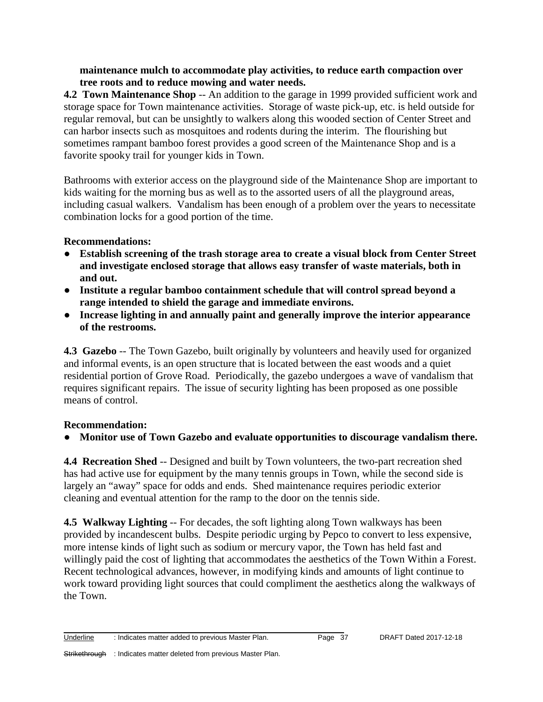#### **maintenance mulch to accommodate play activities, to reduce earth compaction over tree roots and to reduce mowing and water needs.**

**4.2 Town Maintenance Shop** -- An addition to the garage in 1999 provided sufficient work and storage space for Town maintenance activities. Storage of waste pick-up, etc. is held outside for regular removal, but can be unsightly to walkers along this wooded section of Center Street and can harbor insects such as mosquitoes and rodents during the interim. The flourishing but sometimes rampant bamboo forest provides a good screen of the Maintenance Shop and is a favorite spooky trail for younger kids in Town.

Bathrooms with exterior access on the playground side of the Maintenance Shop are important to kids waiting for the morning bus as well as to the assorted users of all the playground areas, including casual walkers. Vandalism has been enough of a problem over the years to necessitate combination locks for a good portion of the time.

#### **Recommendations:**

- **Establish screening of the trash storage area to create a visual block from Center Street and investigate enclosed storage that allows easy transfer of waste materials, both in and out.**
- **Institute a regular bamboo containment schedule that will control spread beyond a range intended to shield the garage and immediate environs.**
- **Increase lighting in and annually paint and generally improve the interior appearance of the restrooms.**

**4.3 Gazebo** -- The Town Gazebo, built originally by volunteers and heavily used for organized and informal events, is an open structure that is located between the east woods and a quiet residential portion of Grove Road. Periodically, the gazebo undergoes a wave of vandalism that requires significant repairs. The issue of security lighting has been proposed as one possible means of control.

# **Recommendation:**

# ● **Monitor use of Town Gazebo and evaluate opportunities to discourage vandalism there.**

**4.4 Recreation Shed** -- Designed and built by Town volunteers, the two-part recreation shed has had active use for equipment by the many tennis groups in Town, while the second side is largely an "away" space for odds and ends. Shed maintenance requires periodic exterior cleaning and eventual attention for the ramp to the door on the tennis side.

**4.5 Walkway Lighting** -- For decades, the soft lighting along Town walkways has been provided by incandescent bulbs. Despite periodic urging by Pepco to convert to less expensive, more intense kinds of light such as sodium or mercury vapor, the Town has held fast and willingly paid the cost of lighting that accommodates the aesthetics of the Town Within a Forest. Recent technological advances, however, in modifying kinds and amounts of light continue to work toward providing light sources that could compliment the aesthetics along the walkways of the Town.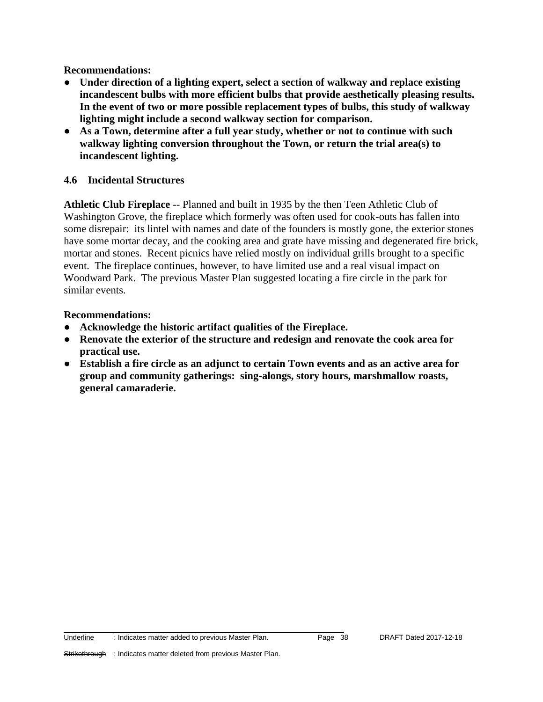**Recommendations:**

- **Under direction of a lighting expert, select a section of walkway and replace existing incandescent bulbs with more efficient bulbs that provide aesthetically pleasing results. In the event of two or more possible replacement types of bulbs, this study of walkway lighting might include a second walkway section for comparison.**
- **As a Town, determine after a full year study, whether or not to continue with such walkway lighting conversion throughout the Town, or return the trial area(s) to incandescent lighting.**

#### **4.6 Incidental Structures**

**Athletic Club Fireplace** -- Planned and built in 1935 by the then Teen Athletic Club of Washington Grove, the fireplace which formerly was often used for cook-outs has fallen into some disrepair: its lintel with names and date of the founders is mostly gone, the exterior stones have some mortar decay, and the cooking area and grate have missing and degenerated fire brick, mortar and stones. Recent picnics have relied mostly on individual grills brought to a specific event. The fireplace continues, however, to have limited use and a real visual impact on Woodward Park. The previous Master Plan suggested locating a fire circle in the park for similar events.

#### **Recommendations:**

- **Acknowledge the historic artifact qualities of the Fireplace.**
- **Renovate the exterior of the structure and redesign and renovate the cook area for practical use.**
- **Establish a fire circle as an adjunct to certain Town events and as an active area for group and community gatherings: sing-alongs, story hours, marshmallow roasts, general camaraderie.**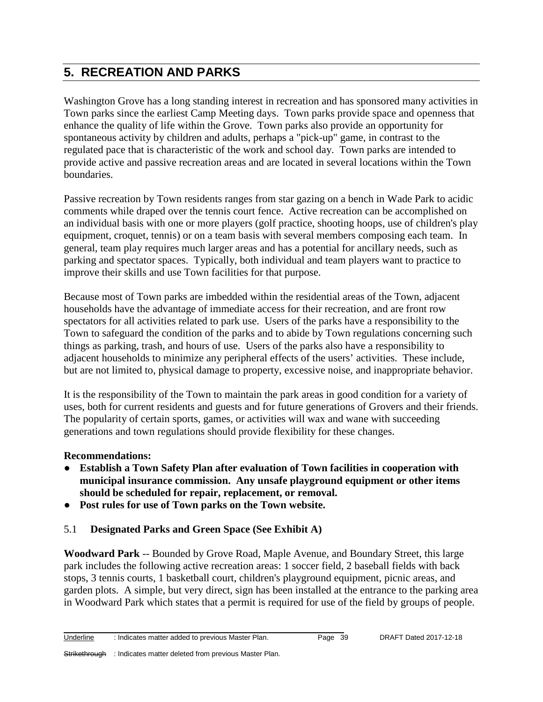# **5. RECREATION AND PARKS**

Washington Grove has a long standing interest in recreation and has sponsored many activities in Town parks since the earliest Camp Meeting days. Town parks provide space and openness that enhance the quality of life within the Grove. Town parks also provide an opportunity for spontaneous activity by children and adults, perhaps a "pick-up" game, in contrast to the regulated pace that is characteristic of the work and school day. Town parks are intended to provide active and passive recreation areas and are located in several locations within the Town boundaries.

Passive recreation by Town residents ranges from star gazing on a bench in Wade Park to acidic comments while draped over the tennis court fence. Active recreation can be accomplished on an individual basis with one or more players (golf practice, shooting hoops, use of children's play equipment, croquet, tennis) or on a team basis with several members composing each team. In general, team play requires much larger areas and has a potential for ancillary needs, such as parking and spectator spaces. Typically, both individual and team players want to practice to improve their skills and use Town facilities for that purpose.

Because most of Town parks are imbedded within the residential areas of the Town, adjacent households have the advantage of immediate access for their recreation, and are front row spectators for all activities related to park use. Users of the parks have a responsibility to the Town to safeguard the condition of the parks and to abide by Town regulations concerning such things as parking, trash, and hours of use. Users of the parks also have a responsibility to adjacent households to minimize any peripheral effects of the users' activities. These include, but are not limited to, physical damage to property, excessive noise, and inappropriate behavior.

It is the responsibility of the Town to maintain the park areas in good condition for a variety of uses, both for current residents and guests and for future generations of Grovers and their friends. The popularity of certain sports, games, or activities will wax and wane with succeeding generations and town regulations should provide flexibility for these changes.

# **Recommendations:**

- **Establish a Town Safety Plan after evaluation of Town facilities in cooperation with municipal insurance commission. Any unsafe playground equipment or other items should be scheduled for repair, replacement, or removal.**
- **Post rules for use of Town parks on the Town website.**

# 5.1 **Designated Parks and Green Space (See Exhibit A)**

\_\_\_\_\_\_\_\_\_\_\_\_\_\_\_\_\_\_\_\_\_\_\_\_\_\_\_\_\_\_\_\_\_\_\_\_\_\_\_\_\_\_\_\_\_\_\_\_\_\_\_\_\_\_\_\_\_\_\_\_\_\_\_\_\_\_\_\_\_\_\_

**Woodward Park** -- Bounded by Grove Road, Maple Avenue, and Boundary Street, this large park includes the following active recreation areas: 1 soccer field, 2 baseball fields with back stops, 3 tennis courts, 1 basketball court, children's playground equipment, picnic areas, and garden plots. A simple, but very direct, sign has been installed at the entrance to the parking area in Woodward Park which states that a permit is required for use of the field by groups of people.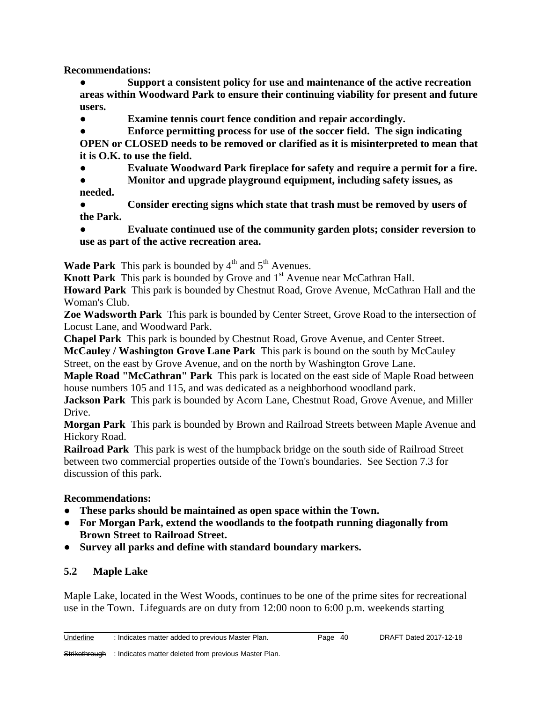**Recommendations:** 

Support a consistent policy for use and maintenance of the active recreation **areas within Woodward Park to ensure their continuing viability for present and future users.**

● **Examine tennis court fence condition and repair accordingly.**

● **Enforce permitting process for use of the soccer field. The sign indicating OPEN or CLOSED needs to be removed or clarified as it is misinterpreted to mean that it is O.K. to use the field.** 

**Evaluate Woodward Park fireplace for safety and require a permit for a fire.** 

● **Monitor and upgrade playground equipment, including safety issues, as needed.**

Consider erecting signs which state that trash must be removed by users of **the Park.**

**Evaluate continued use of the community garden plots; consider reversion to use as part of the active recreation area.**

**Wade Park** This park is bounded by  $4<sup>th</sup>$  and  $5<sup>th</sup>$  Avenues.

**Knott Park** This park is bounded by Grove and 1<sup>st</sup> Avenue near McCathran Hall.

**Howard Park** This park is bounded by Chestnut Road, Grove Avenue, McCathran Hall and the Woman's Club.

**Zoe Wadsworth Park** This park is bounded by Center Street, Grove Road to the intersection of Locust Lane, and Woodward Park.

**Chapel Park** This park is bounded by Chestnut Road, Grove Avenue, and Center Street.

**McCauley / Washington Grove Lane Park** This park is bound on the south by McCauley Street, on the east by Grove Avenue, and on the north by Washington Grove Lane.

**Maple Road "McCathran" Park** This park is located on the east side of Maple Road between house numbers 105 and 115, and was dedicated as a neighborhood woodland park.

**Jackson Park** This park is bounded by Acorn Lane, Chestnut Road, Grove Avenue, and Miller Drive.

**Morgan Park** This park is bounded by Brown and Railroad Streets between Maple Avenue and Hickory Road.

**Railroad Park** This park is west of the humpback bridge on the south side of Railroad Street between two commercial properties outside of the Town's boundaries. See Section 7.3 for discussion of this park.

# **Recommendations:**

- **These parks should be maintained as open space within the Town.**
- **For Morgan Park, extend the woodlands to the footpath running diagonally from Brown Street to Railroad Street.**
- **Survey all parks and define with standard boundary markers.**

# **5.2 Maple Lake**

Maple Lake, located in the West Woods, continues to be one of the prime sites for recreational use in the Town. Lifeguards are on duty from 12:00 noon to 6:00 p.m. weekends starting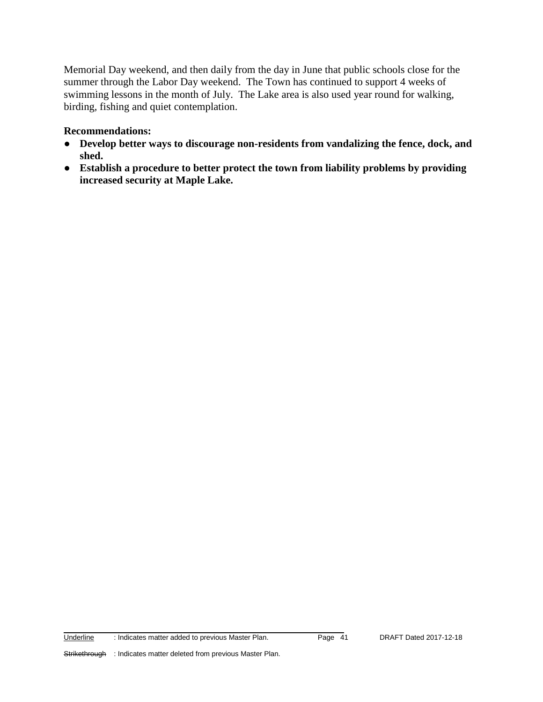Memorial Day weekend, and then daily from the day in June that public schools close for the summer through the Labor Day weekend. The Town has continued to support 4 weeks of swimming lessons in the month of July. The Lake area is also used year round for walking, birding, fishing and quiet contemplation.

#### **Recommendations:**

- **Develop better ways to discourage non-residents from vandalizing the fence, dock, and shed.**
- **Establish a procedure to better protect the town from liability problems by providing increased security at Maple Lake.**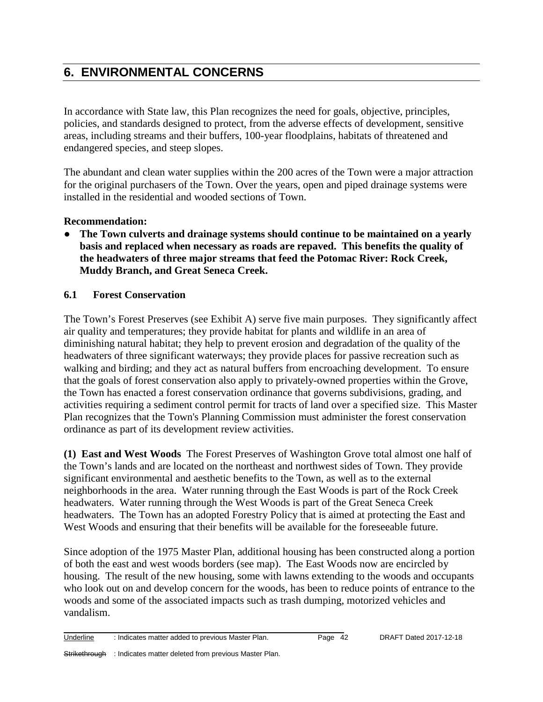# **6. ENVIRONMENTAL CONCERNS**

In accordance with State law, this Plan recognizes the need for goals, objective, principles, policies, and standards designed to protect, from the adverse effects of development, sensitive areas, including streams and their buffers, 100-year floodplains, habitats of threatened and endangered species, and steep slopes.

The abundant and clean water supplies within the 200 acres of the Town were a major attraction for the original purchasers of the Town. Over the years, open and piped drainage systems were installed in the residential and wooded sections of Town.

#### **Recommendation:**

● **The Town culverts and drainage systems should continue to be maintained on a yearly basis and replaced when necessary as roads are repaved. This benefits the quality of the headwaters of three major streams that feed the Potomac River: Rock Creek, Muddy Branch, and Great Seneca Creek.**

# **6.1 Forest Conservation**

The Town's Forest Preserves (see Exhibit A) serve five main purposes. They significantly affect air quality and temperatures; they provide habitat for plants and wildlife in an area of diminishing natural habitat; they help to prevent erosion and degradation of the quality of the headwaters of three significant waterways; they provide places for passive recreation such as walking and birding; and they act as natural buffers from encroaching development. To ensure that the goals of forest conservation also apply to privately-owned properties within the Grove, the Town has enacted a forest conservation ordinance that governs subdivisions, grading, and activities requiring a sediment control permit for tracts of land over a specified size. This Master Plan recognizes that the Town's Planning Commission must administer the forest conservation ordinance as part of its development review activities.

**(1) East and West Woods** The Forest Preserves of Washington Grove total almost one half of the Town's lands and are located on the northeast and northwest sides of Town. They provide significant environmental and aesthetic benefits to the Town, as well as to the external neighborhoods in the area. Water running through the East Woods is part of the Rock Creek headwaters. Water running through the West Woods is part of the Great Seneca Creek headwaters. The Town has an adopted Forestry Policy that is aimed at protecting the East and West Woods and ensuring that their benefits will be available for the foreseeable future.

Since adoption of the 1975 Master Plan, additional housing has been constructed along a portion of both the east and west woods borders (see map). The East Woods now are encircled by housing. The result of the new housing, some with lawns extending to the woods and occupants who look out on and develop concern for the woods, has been to reduce points of entrance to the woods and some of the associated impacts such as trash dumping, motorized vehicles and vandalism.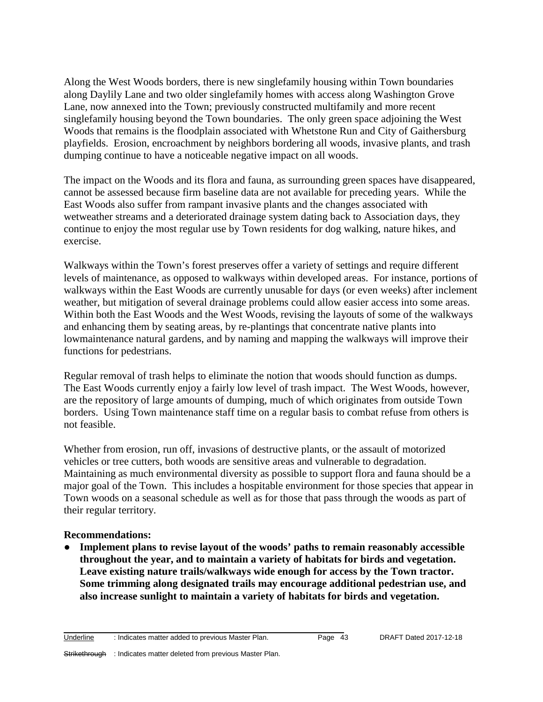Along the West Woods borders, there is new singlefamily housing within Town boundaries along Daylily Lane and two older singlefamily homes with access along Washington Grove Lane, now annexed into the Town; previously constructed multifamily and more recent singlefamily housing beyond the Town boundaries. The only green space adjoining the West Woods that remains is the floodplain associated with Whetstone Run and City of Gaithersburg playfields. Erosion, encroachment by neighbors bordering all woods, invasive plants, and trash dumping continue to have a noticeable negative impact on all woods.

The impact on the Woods and its flora and fauna, as surrounding green spaces have disappeared, cannot be assessed because firm baseline data are not available for preceding years. While the East Woods also suffer from rampant invasive plants and the changes associated with wetweather streams and a deteriorated drainage system dating back to Association days, they continue to enjoy the most regular use by Town residents for dog walking, nature hikes, and exercise.

Walkways within the Town's forest preserves offer a variety of settings and require different levels of maintenance, as opposed to walkways within developed areas. For instance, portions of walkways within the East Woods are currently unusable for days (or even weeks) after inclement weather, but mitigation of several drainage problems could allow easier access into some areas. Within both the East Woods and the West Woods, revising the layouts of some of the walkways and enhancing them by seating areas, by re-plantings that concentrate native plants into lowmaintenance natural gardens, and by naming and mapping the walkways will improve their functions for pedestrians.

Regular removal of trash helps to eliminate the notion that woods should function as dumps. The East Woods currently enjoy a fairly low level of trash impact. The West Woods, however, are the repository of large amounts of dumping, much of which originates from outside Town borders. Using Town maintenance staff time on a regular basis to combat refuse from others is not feasible.

Whether from erosion, run off, invasions of destructive plants, or the assault of motorized vehicles or tree cutters, both woods are sensitive areas and vulnerable to degradation. Maintaining as much environmental diversity as possible to support flora and fauna should be a major goal of the Town. This includes a hospitable environment for those species that appear in Town woods on a seasonal schedule as well as for those that pass through the woods as part of their regular territory.

#### **Recommendations:**

● **Implement plans to revise layout of the woods' paths to remain reasonably accessible throughout the year, and to maintain a variety of habitats for birds and vegetation. Leave existing nature trails/walkways wide enough for access by the Town tractor. Some trimming along designated trails may encourage additional pedestrian use, and also increase sunlight to maintain a variety of habitats for birds and vegetation.**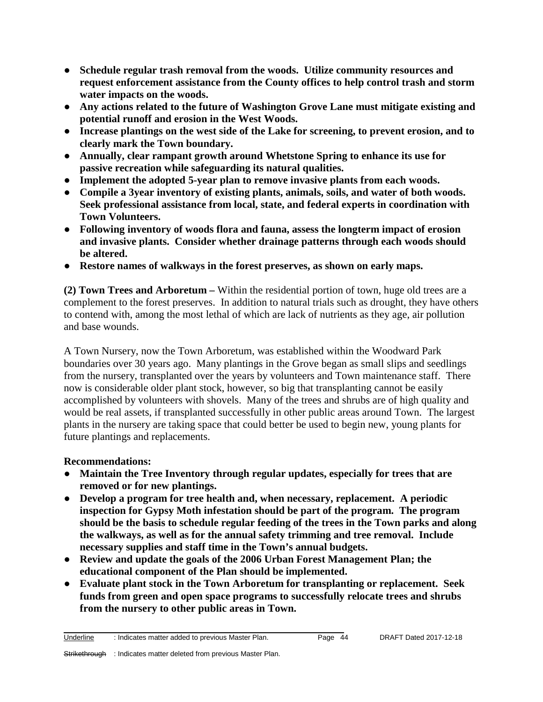- **Schedule regular trash removal from the woods. Utilize community resources and request enforcement assistance from the County offices to help control trash and storm water impacts on the woods.**
- **Any actions related to the future of Washington Grove Lane must mitigate existing and potential runoff and erosion in the West Woods.**
- **Increase plantings on the west side of the Lake for screening, to prevent erosion, and to clearly mark the Town boundary.**
- **Annually, clear rampant growth around Whetstone Spring to enhance its use for passive recreation while safeguarding its natural qualities.**
- **Implement the adopted 5-year plan to remove invasive plants from each woods.**
- **Compile a 3year inventory of existing plants, animals, soils, and water of both woods. Seek professional assistance from local, state, and federal experts in coordination with Town Volunteers.**
- **Following inventory of woods flora and fauna, assess the longterm impact of erosion and invasive plants. Consider whether drainage patterns through each woods should be altered.**
- **Restore names of walkways in the forest preserves, as shown on early maps.**

**(2) Town Trees and Arboretum –** Within the residential portion of town, huge old trees are a complement to the forest preserves. In addition to natural trials such as drought, they have others to contend with, among the most lethal of which are lack of nutrients as they age, air pollution and base wounds.

A Town Nursery, now the Town Arboretum, was established within the Woodward Park boundaries over 30 years ago. Many plantings in the Grove began as small slips and seedlings from the nursery, transplanted over the years by volunteers and Town maintenance staff. There now is considerable older plant stock, however, so big that transplanting cannot be easily accomplished by volunteers with shovels. Many of the trees and shrubs are of high quality and would be real assets, if transplanted successfully in other public areas around Town. The largest plants in the nursery are taking space that could better be used to begin new, young plants for future plantings and replacements.

# **Recommendations:**

- **Maintain the Tree Inventory through regular updates, especially for trees that are removed or for new plantings.**
- **Develop a program for tree health and, when necessary, replacement. A periodic inspection for Gypsy Moth infestation should be part of the program. The program should be the basis to schedule regular feeding of the trees in the Town parks and along the walkways, as well as for the annual safety trimming and tree removal. Include necessary supplies and staff time in the Town's annual budgets.**
- **Review and update the goals of the 2006 Urban Forest Management Plan; the educational component of the Plan should be implemented.**
- **Evaluate plant stock in the Town Arboretum for transplanting or replacement. Seek funds from green and open space programs to successfully relocate trees and shrubs from the nursery to other public areas in Town.**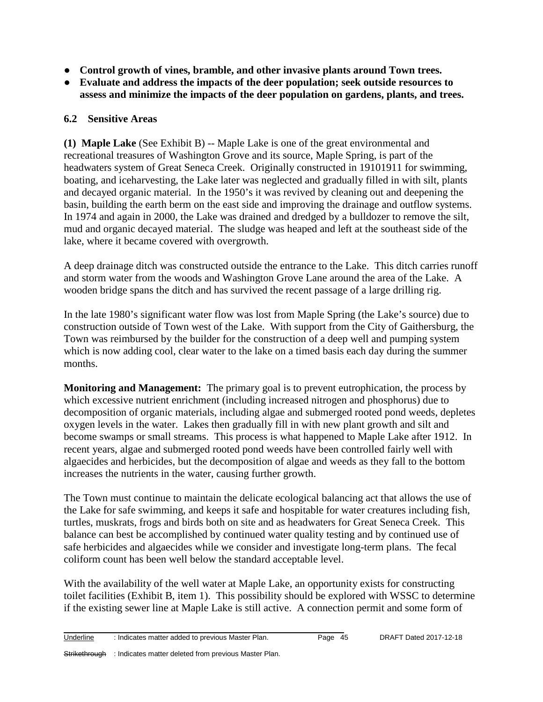- **Control growth of vines, bramble, and other invasive plants around Town trees.**
- **Evaluate and address the impacts of the deer population; seek outside resources to assess and minimize the impacts of the deer population on gardens, plants, and trees.**

#### **6.2 Sensitive Areas**

**(1) Maple Lake** (See Exhibit B) -- Maple Lake is one of the great environmental and recreational treasures of Washington Grove and its source, Maple Spring, is part of the headwaters system of Great Seneca Creek. Originally constructed in 19101911 for swimming, boating, and iceharvesting, the Lake later was neglected and gradually filled in with silt, plants and decayed organic material. In the 1950's it was revived by cleaning out and deepening the basin, building the earth berm on the east side and improving the drainage and outflow systems. In 1974 and again in 2000, the Lake was drained and dredged by a bulldozer to remove the silt, mud and organic decayed material. The sludge was heaped and left at the southeast side of the lake, where it became covered with overgrowth.

A deep drainage ditch was constructed outside the entrance to the Lake. This ditch carries runoff and storm water from the woods and Washington Grove Lane around the area of the Lake. A wooden bridge spans the ditch and has survived the recent passage of a large drilling rig.

In the late 1980's significant water flow was lost from Maple Spring (the Lake's source) due to construction outside of Town west of the Lake. With support from the City of Gaithersburg, the Town was reimbursed by the builder for the construction of a deep well and pumping system which is now adding cool, clear water to the lake on a timed basis each day during the summer months.

**Monitoring and Management:** The primary goal is to prevent eutrophication, the process by which excessive nutrient enrichment (including increased nitrogen and phosphorus) due to decomposition of organic materials, including algae and submerged rooted pond weeds, depletes oxygen levels in the water. Lakes then gradually fill in with new plant growth and silt and become swamps or small streams. This process is what happened to Maple Lake after 1912. In recent years, algae and submerged rooted pond weeds have been controlled fairly well with algaecides and herbicides, but the decomposition of algae and weeds as they fall to the bottom increases the nutrients in the water, causing further growth.

The Town must continue to maintain the delicate ecological balancing act that allows the use of the Lake for safe swimming, and keeps it safe and hospitable for water creatures including fish, turtles, muskrats, frogs and birds both on site and as headwaters for Great Seneca Creek. This balance can best be accomplished by continued water quality testing and by continued use of safe herbicides and algaecides while we consider and investigate long-term plans. The fecal coliform count has been well below the standard acceptable level.

With the availability of the well water at Maple Lake, an opportunity exists for constructing toilet facilities (Exhibit B, item 1). This possibility should be explored with WSSC to determine if the existing sewer line at Maple Lake is still active. A connection permit and some form of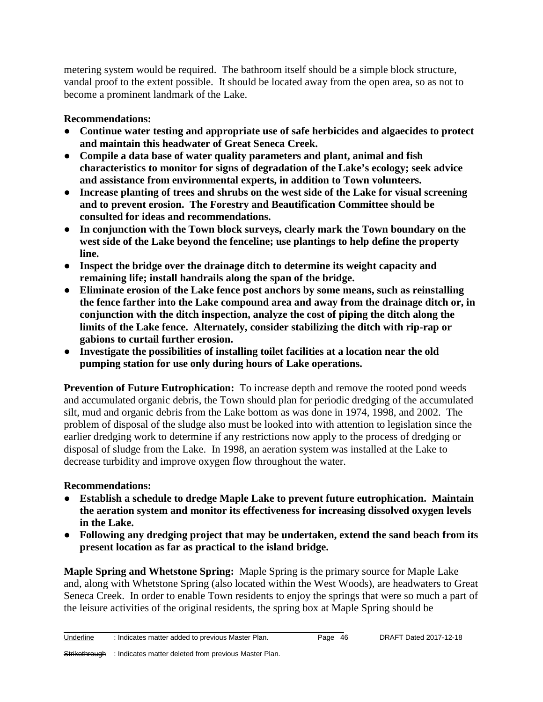metering system would be required. The bathroom itself should be a simple block structure, vandal proof to the extent possible. It should be located away from the open area, so as not to become a prominent landmark of the Lake.

# **Recommendations:**

- **Continue water testing and appropriate use of safe herbicides and algaecides to protect and maintain this headwater of Great Seneca Creek.**
- **Compile a data base of water quality parameters and plant, animal and fish characteristics to monitor for signs of degradation of the Lake's ecology; seek advice and assistance from environmental experts, in addition to Town volunteers.**
- **Increase planting of trees and shrubs on the west side of the Lake for visual screening and to prevent erosion. The Forestry and Beautification Committee should be consulted for ideas and recommendations.**
- **In conjunction with the Town block surveys, clearly mark the Town boundary on the west side of the Lake beyond the fenceline; use plantings to help define the property line.**
- **Inspect the bridge over the drainage ditch to determine its weight capacity and remaining life; install handrails along the span of the bridge.**
- **Eliminate erosion of the Lake fence post anchors by some means, such as reinstalling the fence farther into the Lake compound area and away from the drainage ditch or, in conjunction with the ditch inspection, analyze the cost of piping the ditch along the limits of the Lake fence. Alternately, consider stabilizing the ditch with rip-rap or gabions to curtail further erosion.**
- **Investigate the possibilities of installing toilet facilities at a location near the old pumping station for use only during hours of Lake operations.**

**Prevention of Future Eutrophication:** To increase depth and remove the rooted pond weeds and accumulated organic debris, the Town should plan for periodic dredging of the accumulated silt, mud and organic debris from the Lake bottom as was done in 1974, 1998, and 2002. The problem of disposal of the sludge also must be looked into with attention to legislation since the earlier dredging work to determine if any restrictions now apply to the process of dredging or disposal of sludge from the Lake. In 1998, an aeration system was installed at the Lake to decrease turbidity and improve oxygen flow throughout the water.

# **Recommendations:**

- **Establish a schedule to dredge Maple Lake to prevent future eutrophication. Maintain the aeration system and monitor its effectiveness for increasing dissolved oxygen levels in the Lake.**
- **Following any dredging project that may be undertaken, extend the sand beach from its present location as far as practical to the island bridge.**

**Maple Spring and Whetstone Spring:** Maple Spring is the primary source for Maple Lake and, along with Whetstone Spring (also located within the West Woods), are headwaters to Great Seneca Creek. In order to enable Town residents to enjoy the springs that were so much a part of the leisure activities of the original residents, the spring box at Maple Spring should be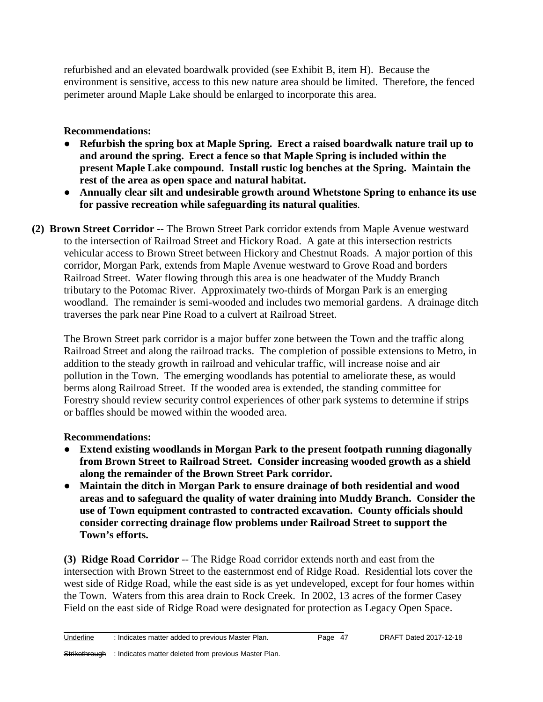refurbished and an elevated boardwalk provided (see Exhibit B, item H). Because the environment is sensitive, access to this new nature area should be limited. Therefore, the fenced perimeter around Maple Lake should be enlarged to incorporate this area.

# **Recommendations:**

- **Refurbish the spring box at Maple Spring. Erect a raised boardwalk nature trail up to and around the spring. Erect a fence so that Maple Spring is included within the present Maple Lake compound. Install rustic log benches at the Spring. Maintain the rest of the area as open space and natural habitat.**
- **Annually clear silt and undesirable growth around Whetstone Spring to enhance its use for passive recreation while safeguarding its natural qualities**.
- **(2) Brown Street Corridor --** The Brown Street Park corridor extends from Maple Avenue westward to the intersection of Railroad Street and Hickory Road. A gate at this intersection restricts vehicular access to Brown Street between Hickory and Chestnut Roads. A major portion of this corridor, Morgan Park, extends from Maple Avenue westward to Grove Road and borders Railroad Street. Water flowing through this area is one headwater of the Muddy Branch tributary to the Potomac River. Approximately two-thirds of Morgan Park is an emerging woodland. The remainder is semi-wooded and includes two memorial gardens. A drainage ditch traverses the park near Pine Road to a culvert at Railroad Street.

The Brown Street park corridor is a major buffer zone between the Town and the traffic along Railroad Street and along the railroad tracks. The completion of possible extensions to Metro, in addition to the steady growth in railroad and vehicular traffic, will increase noise and air pollution in the Town. The emerging woodlands has potential to ameliorate these, as would berms along Railroad Street. If the wooded area is extended, the standing committee for Forestry should review security control experiences of other park systems to determine if strips or baffles should be mowed within the wooded area.

# **Recommendations:**

- **Extend existing woodlands in Morgan Park to the present footpath running diagonally from Brown Street to Railroad Street. Consider increasing wooded growth as a shield along the remainder of the Brown Street Park corridor.**
- **Maintain the ditch in Morgan Park to ensure drainage of both residential and wood areas and to safeguard the quality of water draining into Muddy Branch. Consider the use of Town equipment contrasted to contracted excavation. County officials should consider correcting drainage flow problems under Railroad Street to support the Town's efforts.**

**(3) Ridge Road Corridor** -- The Ridge Road corridor extends north and east from the intersection with Brown Street to the easternmost end of Ridge Road. Residential lots cover the west side of Ridge Road, while the east side is as yet undeveloped, except for four homes within the Town. Waters from this area drain to Rock Creek. In 2002, 13 acres of the former Casey Field on the east side of Ridge Road were designated for protection as Legacy Open Space.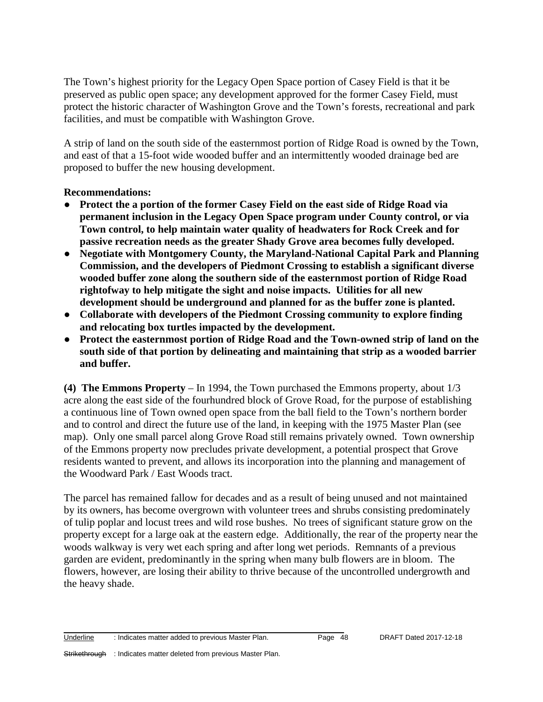The Town's highest priority for the Legacy Open Space portion of Casey Field is that it be preserved as public open space; any development approved for the former Casey Field, must protect the historic character of Washington Grove and the Town's forests, recreational and park facilities, and must be compatible with Washington Grove.

A strip of land on the south side of the easternmost portion of Ridge Road is owned by the Town, and east of that a 15-foot wide wooded buffer and an intermittently wooded drainage bed are proposed to buffer the new housing development.

#### **Recommendations:**

- **Protect the a portion of the former Casey Field on the east side of Ridge Road via permanent inclusion in the Legacy Open Space program under County control, or via Town control, to help maintain water quality of headwaters for Rock Creek and for passive recreation needs as the greater Shady Grove area becomes fully developed.**
- **Negotiate with Montgomery County, the Maryland-National Capital Park and Planning Commission, and the developers of Piedmont Crossing to establish a significant diverse wooded buffer zone along the southern side of the easternmost portion of Ridge Road rightofway to help mitigate the sight and noise impacts. Utilities for all new development should be underground and planned for as the buffer zone is planted.**
- **Collaborate with developers of the Piedmont Crossing community to explore finding and relocating box turtles impacted by the development.**
- **Protect the easternmost portion of Ridge Road and the Town-owned strip of land on the south side of that portion by delineating and maintaining that strip as a wooded barrier and buffer.**

**(4) The Emmons Property** – In 1994, the Town purchased the Emmons property, about 1/3 acre along the east side of the fourhundred block of Grove Road, for the purpose of establishing a continuous line of Town owned open space from the ball field to the Town's northern border and to control and direct the future use of the land, in keeping with the 1975 Master Plan (see map). Only one small parcel along Grove Road still remains privately owned. Town ownership of the Emmons property now precludes private development, a potential prospect that Grove residents wanted to prevent, and allows its incorporation into the planning and management of the Woodward Park / East Woods tract.

The parcel has remained fallow for decades and as a result of being unused and not maintained by its owners, has become overgrown with volunteer trees and shrubs consisting predominately of tulip poplar and locust trees and wild rose bushes. No trees of significant stature grow on the property except for a large oak at the eastern edge. Additionally, the rear of the property near the woods walkway is very wet each spring and after long wet periods. Remnants of a previous garden are evident, predominantly in the spring when many bulb flowers are in bloom. The flowers, however, are losing their ability to thrive because of the uncontrolled undergrowth and the heavy shade.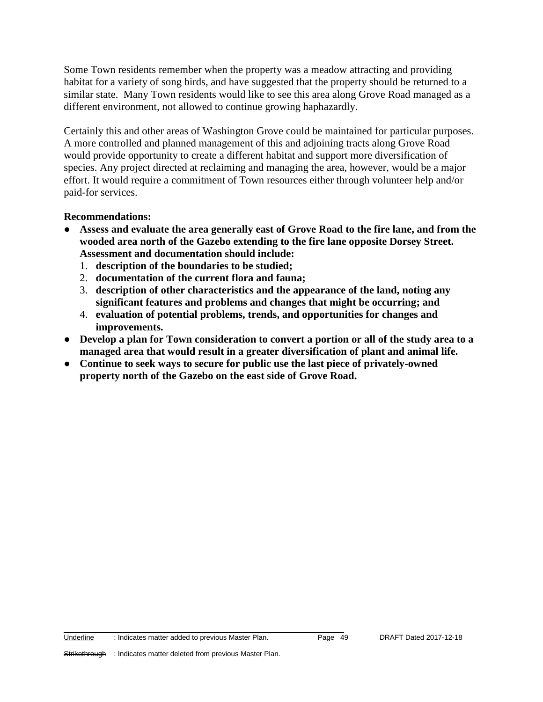Some Town residents remember when the property was a meadow attracting and providing habitat for a variety of song birds, and have suggested that the property should be returned to a similar state. Many Town residents would like to see this area along Grove Road managed as a different environment, not allowed to continue growing haphazardly.

Certainly this and other areas of Washington Grove could be maintained for particular purposes. A more controlled and planned management of this and adjoining tracts along Grove Road would provide opportunity to create a different habitat and support more diversification of species. Any project directed at reclaiming and managing the area, however, would be a major effort. It would require a commitment of Town resources either through volunteer help and/or paid-for services.

#### **Recommendations:**

- **Assess and evaluate the area generally east of Grove Road to the fire lane, and from the wooded area north of the Gazebo extending to the fire lane opposite Dorsey Street. Assessment and documentation should include:**
	- 1. **description of the boundaries to be studied;**
	- 2. **documentation of the current flora and fauna;**
	- 3. **description of other characteristics and the appearance of the land, noting any significant features and problems and changes that might be occurring; and**
	- 4. **evaluation of potential problems, trends, and opportunities for changes and improvements.**
- **Develop a plan for Town consideration to convert a portion or all of the study area to a managed area that would result in a greater diversification of plant and animal life.**
- **Continue to seek ways to secure for public use the last piece of privately-owned property north of the Gazebo on the east side of Grove Road.**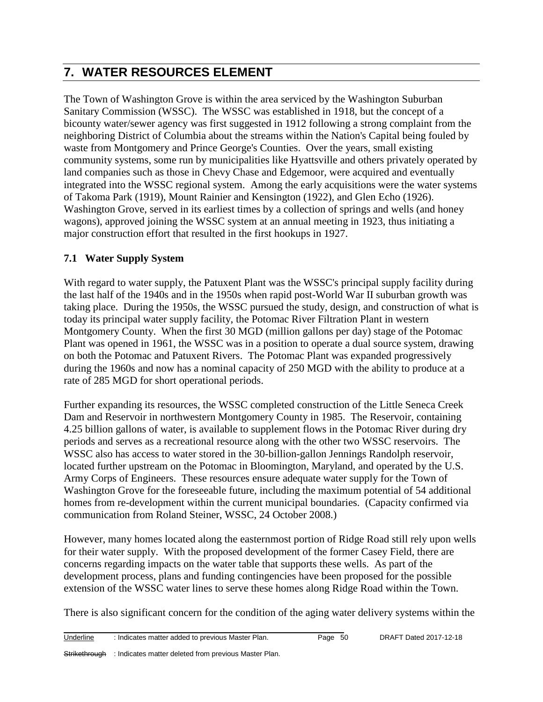# **7. WATER RESOURCES ELEMENT**

The Town of Washington Grove is within the area serviced by the Washington Suburban Sanitary Commission (WSSC). The WSSC was established in 1918, but the concept of a bicounty water/sewer agency was first suggested in 1912 following a strong complaint from the neighboring District of Columbia about the streams within the Nation's Capital being fouled by waste from Montgomery and Prince George's Counties. Over the years, small existing community systems, some run by municipalities like Hyattsville and others privately operated by land companies such as those in Chevy Chase and Edgemoor, were acquired and eventually integrated into the WSSC regional system. Among the early acquisitions were the water systems of Takoma Park (1919), Mount Rainier and Kensington (1922), and Glen Echo (1926). Washington Grove, served in its earliest times by a collection of springs and wells (and honey wagons), approved joining the WSSC system at an annual meeting in 1923, thus initiating a major construction effort that resulted in the first hookups in 1927.

# **7.1 Water Supply System**

With regard to water supply, the Patuxent Plant was the WSSC's principal supply facility during the last half of the 1940s and in the 1950s when rapid post-World War II suburban growth was taking place. During the 1950s, the WSSC pursued the study, design, and construction of what is today its principal water supply facility, the Potomac River Filtration Plant in western Montgomery County. When the first 30 MGD (million gallons per day) stage of the Potomac Plant was opened in 1961, the WSSC was in a position to operate a dual source system, drawing on both the Potomac and Patuxent Rivers. The Potomac Plant was expanded progressively during the 1960s and now has a nominal capacity of 250 MGD with the ability to produce at a rate of 285 MGD for short operational periods.

Further expanding its resources, the WSSC completed construction of the Little Seneca Creek Dam and Reservoir in northwestern Montgomery County in 1985. The Reservoir, containing 4.25 billion gallons of water, is available to supplement flows in the Potomac River during dry periods and serves as a recreational resource along with the other two WSSC reservoirs. The WSSC also has access to water stored in the 30-billion-gallon Jennings Randolph reservoir, located further upstream on the Potomac in Bloomington, Maryland, and operated by the U.S. Army Corps of Engineers. These resources ensure adequate water supply for the Town of Washington Grove for the foreseeable future, including the maximum potential of 54 additional homes from re-development within the current municipal boundaries. (Capacity confirmed via communication from Roland Steiner, WSSC, 24 October 2008.)

However, many homes located along the easternmost portion of Ridge Road still rely upon wells for their water supply. With the proposed development of the former Casey Field, there are concerns regarding impacts on the water table that supports these wells. As part of the development process, plans and funding contingencies have been proposed for the possible extension of the WSSC water lines to serve these homes along Ridge Road within the Town.

There is also significant concern for the condition of the aging water delivery systems within the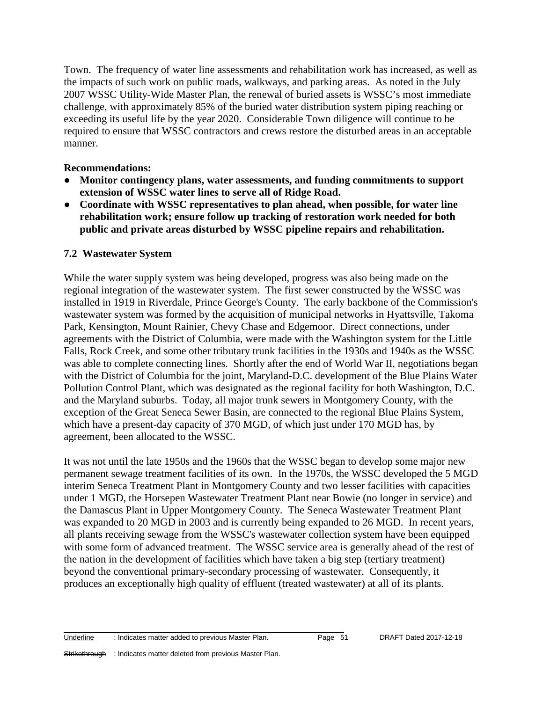Town. The frequency of water line assessments and rehabilitation work has increased, as well as the impacts of such work on public roads, walkways, and parking areas. As noted in the July 2007 WSSC Utility-Wide Master Plan, the renewal of buried assets is WSSC's most immediate challenge, with approximately 85% of the buried water distribution system piping reaching or exceeding its useful life by the year 2020. Considerable Town diligence will continue to be required to ensure that WSSC contractors and crews restore the disturbed areas in an acceptable manner.

#### **Recommendations:**

- **Monitor contingency plans, water assessments, and funding commitments to support extension of WSSC water lines to serve all of Ridge Road.**
- **Coordinate with WSSC representatives to plan ahead, when possible, for water line rehabilitation work; ensure follow up tracking of restoration work needed for both public and private areas disturbed by WSSC pipeline repairs and rehabilitation.**

#### **7.2 Wastewater System**

While the water supply system was being developed, progress was also being made on the regional integration of the wastewater system. The first sewer constructed by the WSSC was installed in 1919 in Riverdale, Prince George's County. The early backbone of the Commission's wastewater system was formed by the acquisition of municipal networks in Hyattsville, Takoma Park, Kensington, Mount Rainier, Chevy Chase and Edgemoor. Direct connections, under agreements with the District of Columbia, were made with the Washington system for the Little Falls, Rock Creek, and some other tributary trunk facilities in the 1930s and 1940s as the WSSC was able to complete connecting lines. Shortly after the end of World War II, negotiations began with the District of Columbia for the joint, Maryland-D.C. development of the Blue Plains Water Pollution Control Plant, which was designated as the regional facility for both Washington, D.C. and the Maryland suburbs. Today, all major trunk sewers in Montgomery County, with the exception of the Great Seneca Sewer Basin, are connected to the regional Blue Plains System, which have a present-day capacity of 370 MGD, of which just under 170 MGD has, by agreement, been allocated to the WSSC.

It was not until the late 1950s and the 1960s that the WSSC began to develop some major new permanent sewage treatment facilities of its own. In the 1970s, the WSSC developed the 5 MGD interim Seneca Treatment Plant in Montgomery County and two lesser facilities with capacities under 1 MGD, the Horsepen Wastewater Treatment Plant near Bowie (no longer in service) and the Damascus Plant in Upper Montgomery County. The Seneca Wastewater Treatment Plant was expanded to 20 MGD in 2003 and is currently being expanded to 26 MGD. In recent years, all plants receiving sewage from the WSSC's wastewater collection system have been equipped with some form of advanced treatment. The WSSC service area is generally ahead of the rest of the nation in the development of facilities which have taken a big step (tertiary treatment) beyond the conventional primary-secondary processing of wastewater. Consequently, it produces an exceptionally high quality of effluent (treated wastewater) at all of its plants.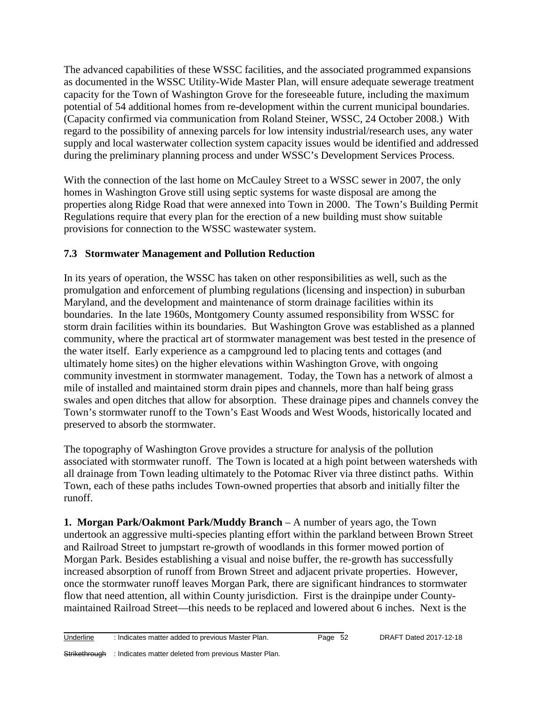The advanced capabilities of these WSSC facilities, and the associated programmed expansions as documented in the WSSC Utility-Wide Master Plan, will ensure adequate sewerage treatment capacity for the Town of Washington Grove for the foreseeable future, including the maximum potential of 54 additional homes from re-development within the current municipal boundaries. (Capacity confirmed via communication from Roland Steiner, WSSC, 24 October 2008.) With regard to the possibility of annexing parcels for low intensity industrial/research uses, any water supply and local wasterwater collection system capacity issues would be identified and addressed during the preliminary planning process and under WSSC's Development Services Process.

With the connection of the last home on McCauley Street to a WSSC sewer in 2007, the only homes in Washington Grove still using septic systems for waste disposal are among the properties along Ridge Road that were annexed into Town in 2000. The Town's Building Permit Regulations require that every plan for the erection of a new building must show suitable provisions for connection to the WSSC wastewater system.

# **7.3 Stormwater Management and Pollution Reduction**

In its years of operation, the WSSC has taken on other responsibilities as well, such as the promulgation and enforcement of plumbing regulations (licensing and inspection) in suburban Maryland, and the development and maintenance of storm drainage facilities within its boundaries. In the late 1960s, Montgomery County assumed responsibility from WSSC for storm drain facilities within its boundaries. But Washington Grove was established as a planned community, where the practical art of stormwater management was best tested in the presence of the water itself. Early experience as a campground led to placing tents and cottages (and ultimately home sites) on the higher elevations within Washington Grove, with ongoing community investment in stormwater management. Today, the Town has a network of almost a mile of installed and maintained storm drain pipes and channels, more than half being grass swales and open ditches that allow for absorption. These drainage pipes and channels convey the Town's stormwater runoff to the Town's East Woods and West Woods, historically located and preserved to absorb the stormwater.

The topography of Washington Grove provides a structure for analysis of the pollution associated with stormwater runoff. The Town is located at a high point between watersheds with all drainage from Town leading ultimately to the Potomac River via three distinct paths. Within Town, each of these paths includes Town-owned properties that absorb and initially filter the runoff.

**1. Morgan Park/Oakmont Park/Muddy Branch** – A number of years ago, the Town undertook an aggressive multi-species planting effort within the parkland between Brown Street and Railroad Street to jumpstart re-growth of woodlands in this former mowed portion of Morgan Park. Besides establishing a visual and noise buffer, the re-growth has successfully increased absorption of runoff from Brown Street and adjacent private properties. However, once the stormwater runoff leaves Morgan Park, there are significant hindrances to stormwater flow that need attention, all within County jurisdiction. First is the drainpipe under Countymaintained Railroad Street—this needs to be replaced and lowered about 6 inches. Next is the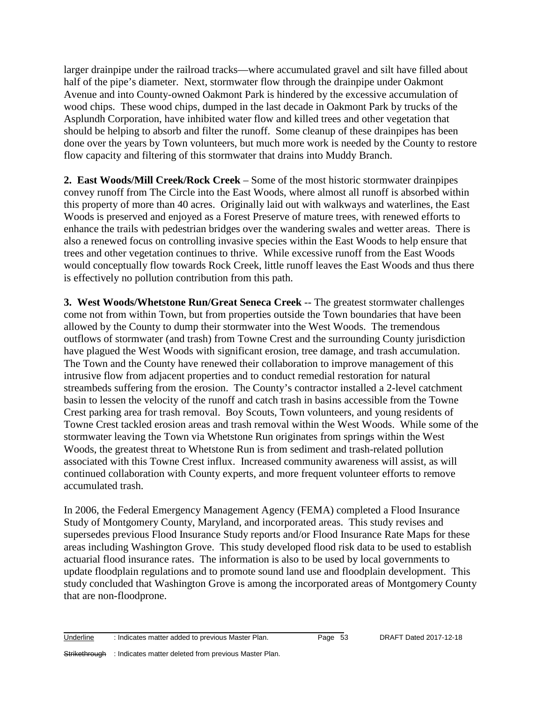larger drainpipe under the railroad tracks—where accumulated gravel and silt have filled about half of the pipe's diameter. Next, stormwater flow through the drainpipe under Oakmont Avenue and into County-owned Oakmont Park is hindered by the excessive accumulation of wood chips. These wood chips, dumped in the last decade in Oakmont Park by trucks of the Asplundh Corporation, have inhibited water flow and killed trees and other vegetation that should be helping to absorb and filter the runoff. Some cleanup of these drainpipes has been done over the years by Town volunteers, but much more work is needed by the County to restore flow capacity and filtering of this stormwater that drains into Muddy Branch.

**2. East Woods/Mill Creek/Rock Creek** – Some of the most historic stormwater drainpipes convey runoff from The Circle into the East Woods, where almost all runoff is absorbed within this property of more than 40 acres. Originally laid out with walkways and waterlines, the East Woods is preserved and enjoyed as a Forest Preserve of mature trees, with renewed efforts to enhance the trails with pedestrian bridges over the wandering swales and wetter areas. There is also a renewed focus on controlling invasive species within the East Woods to help ensure that trees and other vegetation continues to thrive. While excessive runoff from the East Woods would conceptually flow towards Rock Creek, little runoff leaves the East Woods and thus there is effectively no pollution contribution from this path.

**3. West Woods/Whetstone Run/Great Seneca Creek** -- The greatest stormwater challenges come not from within Town, but from properties outside the Town boundaries that have been allowed by the County to dump their stormwater into the West Woods. The tremendous outflows of stormwater (and trash) from Towne Crest and the surrounding County jurisdiction have plagued the West Woods with significant erosion, tree damage, and trash accumulation. The Town and the County have renewed their collaboration to improve management of this intrusive flow from adjacent properties and to conduct remedial restoration for natural streambeds suffering from the erosion. The County's contractor installed a 2-level catchment basin to lessen the velocity of the runoff and catch trash in basins accessible from the Towne Crest parking area for trash removal. Boy Scouts, Town volunteers, and young residents of Towne Crest tackled erosion areas and trash removal within the West Woods. While some of the stormwater leaving the Town via Whetstone Run originates from springs within the West Woods, the greatest threat to Whetstone Run is from sediment and trash-related pollution associated with this Towne Crest influx. Increased community awareness will assist, as will continued collaboration with County experts, and more frequent volunteer efforts to remove accumulated trash.

In 2006, the Federal Emergency Management Agency (FEMA) completed a Flood Insurance Study of Montgomery County, Maryland, and incorporated areas. This study revises and supersedes previous Flood Insurance Study reports and/or Flood Insurance Rate Maps for these areas including Washington Grove. This study developed flood risk data to be used to establish actuarial flood insurance rates. The information is also to be used by local governments to update floodplain regulations and to promote sound land use and floodplain development. This study concluded that Washington Grove is among the incorporated areas of Montgomery County that are non-floodprone.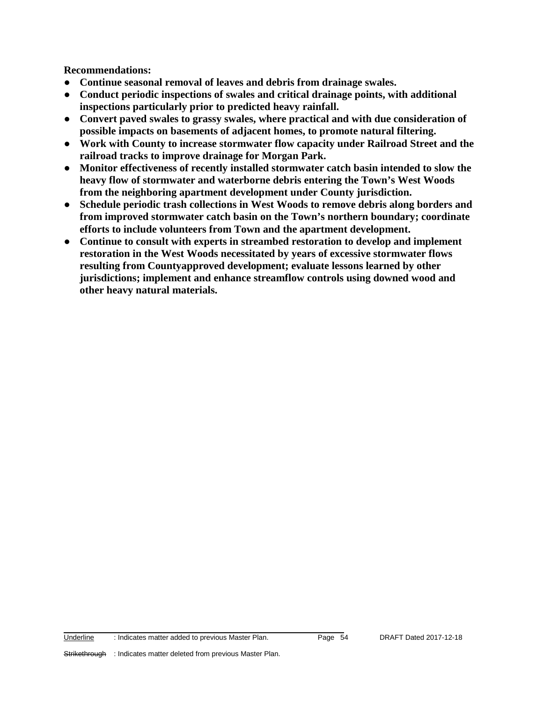**Recommendations:**

- **Continue seasonal removal of leaves and debris from drainage swales.**
- **Conduct periodic inspections of swales and critical drainage points, with additional inspections particularly prior to predicted heavy rainfall.**
- **Convert paved swales to grassy swales, where practical and with due consideration of possible impacts on basements of adjacent homes, to promote natural filtering.**
- **Work with County to increase stormwater flow capacity under Railroad Street and the railroad tracks to improve drainage for Morgan Park.**
- **Monitor effectiveness of recently installed stormwater catch basin intended to slow the heavy flow of stormwater and waterborne debris entering the Town's West Woods from the neighboring apartment development under County jurisdiction.**
- **Schedule periodic trash collections in West Woods to remove debris along borders and from improved stormwater catch basin on the Town's northern boundary; coordinate efforts to include volunteers from Town and the apartment development.**
- **Continue to consult with experts in streambed restoration to develop and implement restoration in the West Woods necessitated by years of excessive stormwater flows resulting from Countyapproved development; evaluate lessons learned by other jurisdictions; implement and enhance streamflow controls using downed wood and other heavy natural materials.**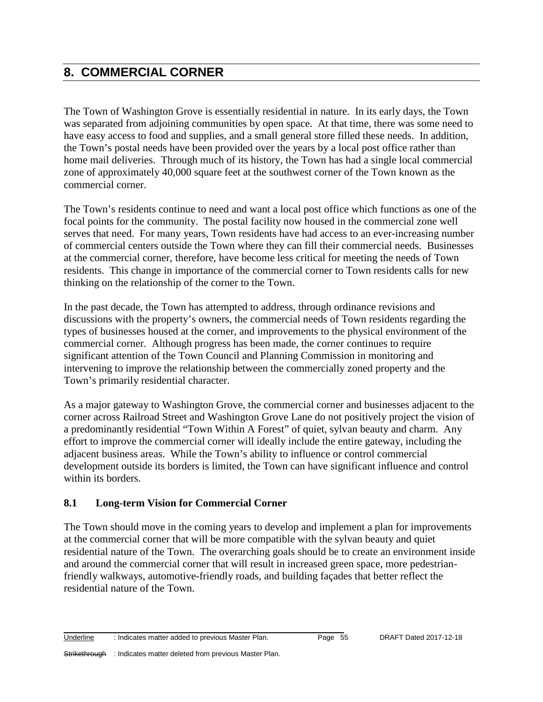# **8. COMMERCIAL CORNER**

The Town of Washington Grove is essentially residential in nature. In its early days, the Town was separated from adjoining communities by open space. At that time, there was some need to have easy access to food and supplies, and a small general store filled these needs. In addition, the Town's postal needs have been provided over the years by a local post office rather than home mail deliveries. Through much of its history, the Town has had a single local commercial zone of approximately 40,000 square feet at the southwest corner of the Town known as the commercial corner.

The Town's residents continue to need and want a local post office which functions as one of the focal points for the community. The postal facility now housed in the commercial zone well serves that need. For many years, Town residents have had access to an ever-increasing number of commercial centers outside the Town where they can fill their commercial needs. Businesses at the commercial corner, therefore, have become less critical for meeting the needs of Town residents. This change in importance of the commercial corner to Town residents calls for new thinking on the relationship of the corner to the Town.

In the past decade, the Town has attempted to address, through ordinance revisions and discussions with the property's owners, the commercial needs of Town residents regarding the types of businesses housed at the corner, and improvements to the physical environment of the commercial corner. Although progress has been made, the corner continues to require significant attention of the Town Council and Planning Commission in monitoring and intervening to improve the relationship between the commercially zoned property and the Town's primarily residential character.

As a major gateway to Washington Grove, the commercial corner and businesses adjacent to the corner across Railroad Street and Washington Grove Lane do not positively project the vision of a predominantly residential "Town Within A Forest" of quiet, sylvan beauty and charm. Any effort to improve the commercial corner will ideally include the entire gateway, including the adjacent business areas. While the Town's ability to influence or control commercial development outside its borders is limited, the Town can have significant influence and control within its borders.

# **8.1 Long-term Vision for Commercial Corner**

The Town should move in the coming years to develop and implement a plan for improvements at the commercial corner that will be more compatible with the sylvan beauty and quiet residential nature of the Town. The overarching goals should be to create an environment inside and around the commercial corner that will result in increased green space, more pedestrianfriendly walkways, automotive-friendly roads, and building façades that better reflect the residential nature of the Town.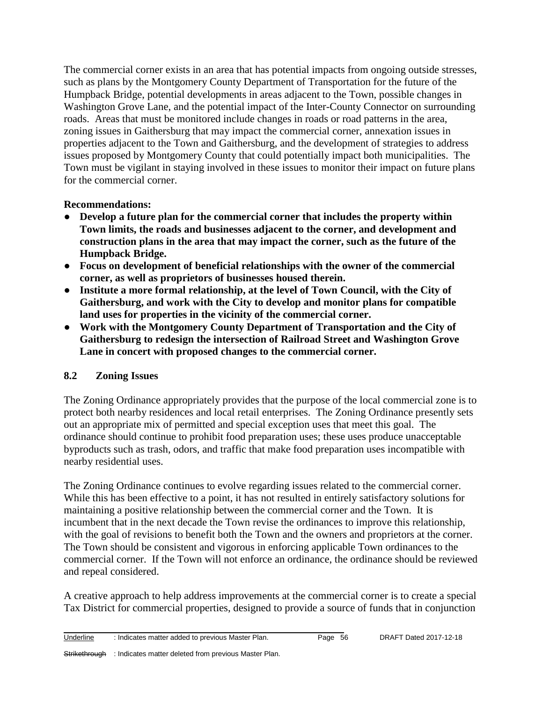The commercial corner exists in an area that has potential impacts from ongoing outside stresses, such as plans by the Montgomery County Department of Transportation for the future of the Humpback Bridge, potential developments in areas adjacent to the Town, possible changes in Washington Grove Lane, and the potential impact of the Inter-County Connector on surrounding roads. Areas that must be monitored include changes in roads or road patterns in the area, zoning issues in Gaithersburg that may impact the commercial corner, annexation issues in properties adjacent to the Town and Gaithersburg, and the development of strategies to address issues proposed by Montgomery County that could potentially impact both municipalities. The Town must be vigilant in staying involved in these issues to monitor their impact on future plans for the commercial corner.

#### **Recommendations:**

- **Develop a future plan for the commercial corner that includes the property within Town limits, the roads and businesses adjacent to the corner, and development and construction plans in the area that may impact the corner, such as the future of the Humpback Bridge.**
- **Focus on development of beneficial relationships with the owner of the commercial corner, as well as proprietors of businesses housed therein.**
- **Institute a more formal relationship, at the level of Town Council, with the City of Gaithersburg, and work with the City to develop and monitor plans for compatible land uses for properties in the vicinity of the commercial corner.**
- **Work with the Montgomery County Department of Transportation and the City of Gaithersburg to redesign the intersection of Railroad Street and Washington Grove Lane in concert with proposed changes to the commercial corner.**

# **8.2 Zoning Issues**

The Zoning Ordinance appropriately provides that the purpose of the local commercial zone is to protect both nearby residences and local retail enterprises. The Zoning Ordinance presently sets out an appropriate mix of permitted and special exception uses that meet this goal. The ordinance should continue to prohibit food preparation uses; these uses produce unacceptable byproducts such as trash, odors, and traffic that make food preparation uses incompatible with nearby residential uses.

The Zoning Ordinance continues to evolve regarding issues related to the commercial corner. While this has been effective to a point, it has not resulted in entirely satisfactory solutions for maintaining a positive relationship between the commercial corner and the Town. It is incumbent that in the next decade the Town revise the ordinances to improve this relationship, with the goal of revisions to benefit both the Town and the owners and proprietors at the corner. The Town should be consistent and vigorous in enforcing applicable Town ordinances to the commercial corner. If the Town will not enforce an ordinance, the ordinance should be reviewed and repeal considered.

A creative approach to help address improvements at the commercial corner is to create a special Tax District for commercial properties, designed to provide a source of funds that in conjunction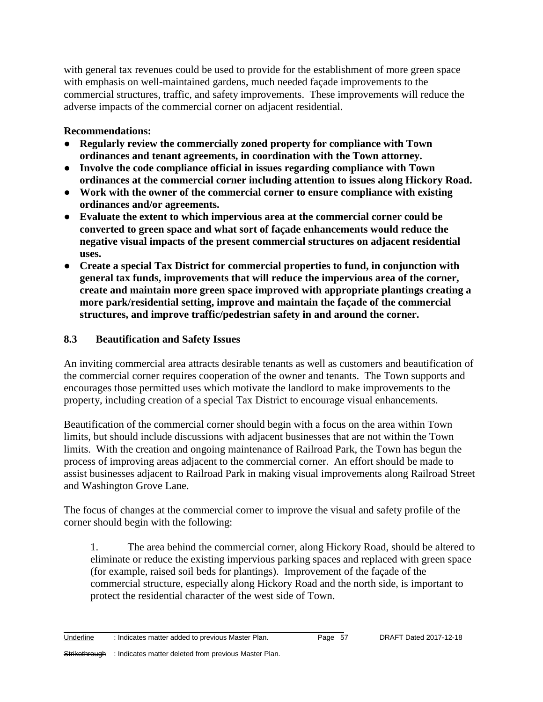with general tax revenues could be used to provide for the establishment of more green space with emphasis on well-maintained gardens, much needed façade improvements to the commercial structures, traffic, and safety improvements. These improvements will reduce the adverse impacts of the commercial corner on adjacent residential.

# **Recommendations:**

- **Regularly review the commercially zoned property for compliance with Town ordinances and tenant agreements, in coordination with the Town attorney.**
- **Involve the code compliance official in issues regarding compliance with Town ordinances at the commercial corner including attention to issues along Hickory Road.**
- **Work with the owner of the commercial corner to ensure compliance with existing ordinances and/or agreements.**
- **Evaluate the extent to which impervious area at the commercial corner could be converted to green space and what sort of façade enhancements would reduce the negative visual impacts of the present commercial structures on adjacent residential uses.**
- **Create a special Tax District for commercial properties to fund, in conjunction with general tax funds, improvements that will reduce the impervious area of the corner, create and maintain more green space improved with appropriate plantings creating a more park/residential setting, improve and maintain the façade of the commercial structures, and improve traffic/pedestrian safety in and around the corner.**

# **8.3 Beautification and Safety Issues**

An inviting commercial area attracts desirable tenants as well as customers and beautification of the commercial corner requires cooperation of the owner and tenants. The Town supports and encourages those permitted uses which motivate the landlord to make improvements to the property, including creation of a special Tax District to encourage visual enhancements.

Beautification of the commercial corner should begin with a focus on the area within Town limits, but should include discussions with adjacent businesses that are not within the Town limits. With the creation and ongoing maintenance of Railroad Park, the Town has begun the process of improving areas adjacent to the commercial corner. An effort should be made to assist businesses adjacent to Railroad Park in making visual improvements along Railroad Street and Washington Grove Lane.

The focus of changes at the commercial corner to improve the visual and safety profile of the corner should begin with the following:

1. The area behind the commercial corner, along Hickory Road, should be altered to eliminate or reduce the existing impervious parking spaces and replaced with green space (for example, raised soil beds for plantings). Improvement of the façade of the commercial structure, especially along Hickory Road and the north side, is important to protect the residential character of the west side of Town.

Underline : Indicates matter added to previous Master Plan. Page 57 DRAFT Dated 2017-12-18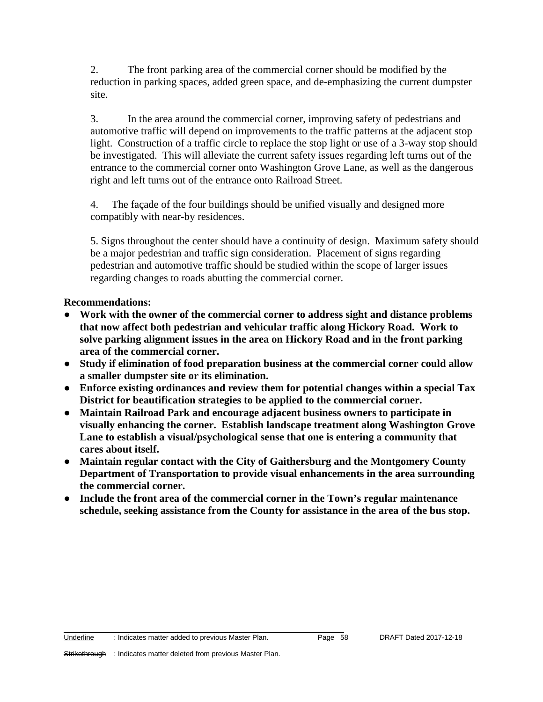2. The front parking area of the commercial corner should be modified by the reduction in parking spaces, added green space, and de-emphasizing the current dumpster site.

3. In the area around the commercial corner, improving safety of pedestrians and automotive traffic will depend on improvements to the traffic patterns at the adjacent stop light. Construction of a traffic circle to replace the stop light or use of a 3-way stop should be investigated. This will alleviate the current safety issues regarding left turns out of the entrance to the commercial corner onto Washington Grove Lane, as well as the dangerous right and left turns out of the entrance onto Railroad Street.

4. The façade of the four buildings should be unified visually and designed more compatibly with near-by residences.

5. Signs throughout the center should have a continuity of design. Maximum safety should be a major pedestrian and traffic sign consideration. Placement of signs regarding pedestrian and automotive traffic should be studied within the scope of larger issues regarding changes to roads abutting the commercial corner.

**Recommendations:** 

- **Work with the owner of the commercial corner to address sight and distance problems that now affect both pedestrian and vehicular traffic along Hickory Road. Work to solve parking alignment issues in the area on Hickory Road and in the front parking area of the commercial corner.**
- **Study if elimination of food preparation business at the commercial corner could allow a smaller dumpster site or its elimination.**
- **Enforce existing ordinances and review them for potential changes within a special Tax District for beautification strategies to be applied to the commercial corner.**
- **Maintain Railroad Park and encourage adjacent business owners to participate in visually enhancing the corner. Establish landscape treatment along Washington Grove Lane to establish a visual/psychological sense that one is entering a community that cares about itself.**
- **Maintain regular contact with the City of Gaithersburg and the Montgomery County Department of Transportation to provide visual enhancements in the area surrounding the commercial corner.**
- **Include the front area of the commercial corner in the Town's regular maintenance schedule, seeking assistance from the County for assistance in the area of the bus stop.**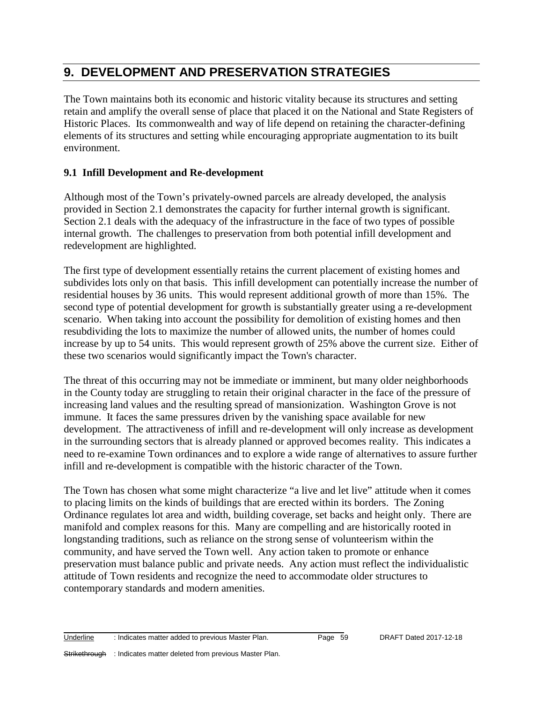# **9. DEVELOPMENT AND PRESERVATION STRATEGIES**

The Town maintains both its economic and historic vitality because its structures and setting retain and amplify the overall sense of place that placed it on the National and State Registers of Historic Places. Its commonwealth and way of life depend on retaining the character-defining elements of its structures and setting while encouraging appropriate augmentation to its built environment.

# **9.1 Infill Development and Re-development**

Although most of the Town's privately-owned parcels are already developed, the analysis provided in Section 2.1 demonstrates the capacity for further internal growth is significant. Section 2.1 deals with the adequacy of the infrastructure in the face of two types of possible internal growth. The challenges to preservation from both potential infill development and redevelopment are highlighted.

The first type of development essentially retains the current placement of existing homes and subdivides lots only on that basis. This infill development can potentially increase the number of residential houses by 36 units. This would represent additional growth of more than 15%. The second type of potential development for growth is substantially greater using a re-development scenario. When taking into account the possibility for demolition of existing homes and then resubdividing the lots to maximize the number of allowed units, the number of homes could increase by up to 54 units. This would represent growth of 25% above the current size. Either of these two scenarios would significantly impact the Town's character.

The threat of this occurring may not be immediate or imminent, but many older neighborhoods in the County today are struggling to retain their original character in the face of the pressure of increasing land values and the resulting spread of mansionization. Washington Grove is not immune. It faces the same pressures driven by the vanishing space available for new development. The attractiveness of infill and re-development will only increase as development in the surrounding sectors that is already planned or approved becomes reality. This indicates a need to re-examine Town ordinances and to explore a wide range of alternatives to assure further infill and re-development is compatible with the historic character of the Town.

The Town has chosen what some might characterize "a live and let live" attitude when it comes to placing limits on the kinds of buildings that are erected within its borders. The Zoning Ordinance regulates lot area and width, building coverage, set backs and height only. There are manifold and complex reasons for this. Many are compelling and are historically rooted in longstanding traditions, such as reliance on the strong sense of volunteerism within the community, and have served the Town well. Any action taken to promote or enhance preservation must balance public and private needs. Any action must reflect the individualistic attitude of Town residents and recognize the need to accommodate older structures to contemporary standards and modern amenities.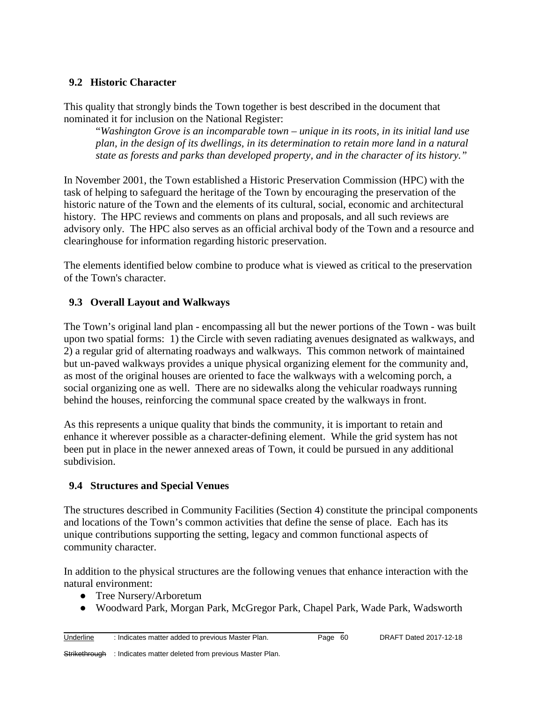## **9.2 Historic Character**

This quality that strongly binds the Town together is best described in the document that nominated it for inclusion on the National Register:

"*Washington Grove is an incomparable town – unique in its roots, in its initial land use plan, in the design of its dwellings, in its determination to retain more land in a natural state as forests and parks than developed property, and in the character of its history."*

In November 2001, the Town established a Historic Preservation Commission (HPC) with the task of helping to safeguard the heritage of the Town by encouraging the preservation of the historic nature of the Town and the elements of its cultural, social, economic and architectural history. The HPC reviews and comments on plans and proposals, and all such reviews are advisory only. The HPC also serves as an official archival body of the Town and a resource and clearinghouse for information regarding historic preservation.

The elements identified below combine to produce what is viewed as critical to the preservation of the Town's character.

# **9.3 Overall Layout and Walkways**

The Town's original land plan - encompassing all but the newer portions of the Town - was built upon two spatial forms: 1) the Circle with seven radiating avenues designated as walkways, and 2) a regular grid of alternating roadways and walkways. This common network of maintained but un-paved walkways provides a unique physical organizing element for the community and, as most of the original houses are oriented to face the walkways with a welcoming porch, a social organizing one as well. There are no sidewalks along the vehicular roadways running behind the houses, reinforcing the communal space created by the walkways in front.

As this represents a unique quality that binds the community, it is important to retain and enhance it wherever possible as a character-defining element. While the grid system has not been put in place in the newer annexed areas of Town, it could be pursued in any additional subdivision.

#### **9.4 Structures and Special Venues**

The structures described in Community Facilities (Section 4) constitute the principal components and locations of the Town's common activities that define the sense of place. Each has its unique contributions supporting the setting, legacy and common functional aspects of community character.

In addition to the physical structures are the following venues that enhance interaction with the natural environment:

- Tree Nursery/Arboretum
- Woodward Park, Morgan Park, McGregor Park, Chapel Park, Wade Park, Wadsworth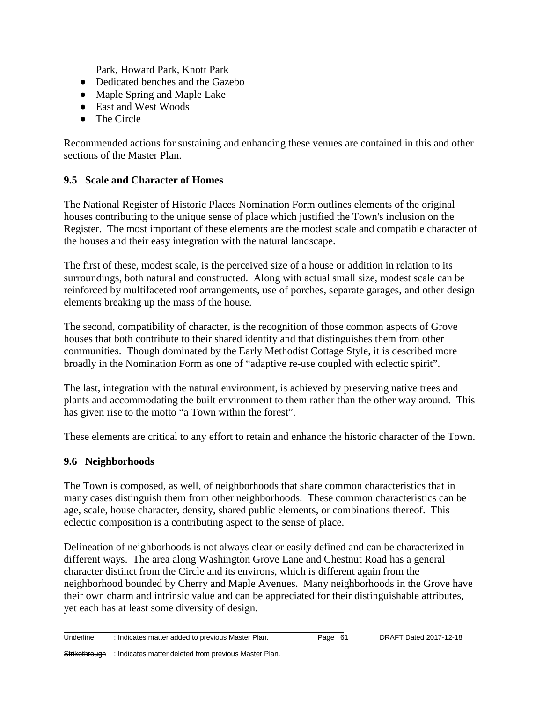Park, Howard Park, Knott Park

- Dedicated benches and the Gazebo
- Maple Spring and Maple Lake
- East and West Woods
- The Circle

Recommended actions for sustaining and enhancing these venues are contained in this and other sections of the Master Plan.

#### **9.5 Scale and Character of Homes**

The National Register of Historic Places Nomination Form outlines elements of the original houses contributing to the unique sense of place which justified the Town's inclusion on the Register. The most important of these elements are the modest scale and compatible character of the houses and their easy integration with the natural landscape.

The first of these, modest scale, is the perceived size of a house or addition in relation to its surroundings, both natural and constructed. Along with actual small size, modest scale can be reinforced by multifaceted roof arrangements, use of porches, separate garages, and other design elements breaking up the mass of the house.

The second, compatibility of character, is the recognition of those common aspects of Grove houses that both contribute to their shared identity and that distinguishes them from other communities. Though dominated by the Early Methodist Cottage Style, it is described more broadly in the Nomination Form as one of "adaptive re-use coupled with eclectic spirit".

The last, integration with the natural environment, is achieved by preserving native trees and plants and accommodating the built environment to them rather than the other way around. This has given rise to the motto "a Town within the forest".

These elements are critical to any effort to retain and enhance the historic character of the Town.

#### **9.6 Neighborhoods**

The Town is composed, as well, of neighborhoods that share common characteristics that in many cases distinguish them from other neighborhoods. These common characteristics can be age, scale, house character, density, shared public elements, or combinations thereof. This eclectic composition is a contributing aspect to the sense of place.

Delineation of neighborhoods is not always clear or easily defined and can be characterized in different ways. The area along Washington Grove Lane and Chestnut Road has a general character distinct from the Circle and its environs, which is different again from the neighborhood bounded by Cherry and Maple Avenues. Many neighborhoods in the Grove have their own charm and intrinsic value and can be appreciated for their distinguishable attributes, yet each has at least some diversity of design.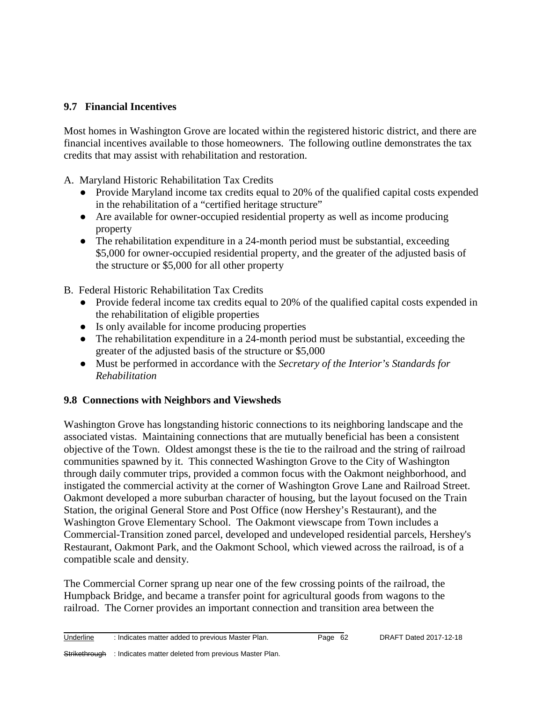## **9.7 Financial Incentives**

Most homes in Washington Grove are located within the registered historic district, and there are financial incentives available to those homeowners. The following outline demonstrates the tax credits that may assist with rehabilitation and restoration.

A. Maryland Historic Rehabilitation Tax Credits

- Provide Maryland income tax credits equal to 20% of the qualified capital costs expended in the rehabilitation of a "certified heritage structure"
- Are available for owner-occupied residential property as well as income producing property
- The rehabilitation expenditure in a 24-month period must be substantial, exceeding \$5,000 for owner-occupied residential property, and the greater of the adjusted basis of the structure or \$5,000 for all other property
- B. Federal Historic Rehabilitation Tax Credits
	- Provide federal income tax credits equal to 20% of the qualified capital costs expended in the rehabilitation of eligible properties
	- Is only available for income producing properties
	- The rehabilitation expenditure in a 24-month period must be substantial, exceeding the greater of the adjusted basis of the structure or \$5,000
	- Must be performed in accordance with the *Secretary of the Interior's Standards for Rehabilitation*

# **9.8 Connections with Neighbors and Viewsheds**

Washington Grove has longstanding historic connections to its neighboring landscape and the associated vistas. Maintaining connections that are mutually beneficial has been a consistent objective of the Town. Oldest amongst these is the tie to the railroad and the string of railroad communities spawned by it. This connected Washington Grove to the City of Washington through daily commuter trips, provided a common focus with the Oakmont neighborhood, and instigated the commercial activity at the corner of Washington Grove Lane and Railroad Street. Oakmont developed a more suburban character of housing, but the layout focused on the Train Station, the original General Store and Post Office (now Hershey's Restaurant), and the Washington Grove Elementary School. The Oakmont viewscape from Town includes a Commercial-Transition zoned parcel, developed and undeveloped residential parcels, Hershey's Restaurant, Oakmont Park, and the Oakmont School, which viewed across the railroad, is of a compatible scale and density.

The Commercial Corner sprang up near one of the few crossing points of the railroad, the Humpback Bridge, and became a transfer point for agricultural goods from wagons to the railroad. The Corner provides an important connection and transition area between the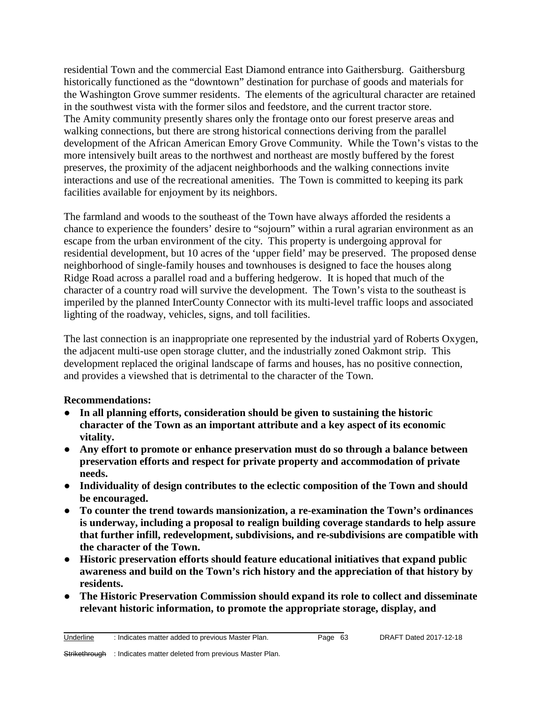residential Town and the commercial East Diamond entrance into Gaithersburg. Gaithersburg historically functioned as the "downtown" destination for purchase of goods and materials for the Washington Grove summer residents. The elements of the agricultural character are retained in the southwest vista with the former silos and feedstore, and the current tractor store. The Amity community presently shares only the frontage onto our forest preserve areas and walking connections, but there are strong historical connections deriving from the parallel development of the African American Emory Grove Community. While the Town's vistas to the more intensively built areas to the northwest and northeast are mostly buffered by the forest preserves, the proximity of the adjacent neighborhoods and the walking connections invite interactions and use of the recreational amenities. The Town is committed to keeping its park facilities available for enjoyment by its neighbors.

The farmland and woods to the southeast of the Town have always afforded the residents a chance to experience the founders' desire to "sojourn" within a rural agrarian environment as an escape from the urban environment of the city. This property is undergoing approval for residential development, but 10 acres of the 'upper field' may be preserved. The proposed dense neighborhood of single-family houses and townhouses is designed to face the houses along Ridge Road across a parallel road and a buffering hedgerow. It is hoped that much of the character of a country road will survive the development. The Town's vista to the southeast is imperiled by the planned InterCounty Connector with its multi-level traffic loops and associated lighting of the roadway, vehicles, signs, and toll facilities.

The last connection is an inappropriate one represented by the industrial yard of Roberts Oxygen, the adjacent multi-use open storage clutter, and the industrially zoned Oakmont strip. This development replaced the original landscape of farms and houses, has no positive connection, and provides a viewshed that is detrimental to the character of the Town.

#### **Recommendations:**

- **In all planning efforts, consideration should be given to sustaining the historic character of the Town as an important attribute and a key aspect of its economic vitality.**
- **Any effort to promote or enhance preservation must do so through a balance between preservation efforts and respect for private property and accommodation of private needs.**
- **Individuality of design contributes to the eclectic composition of the Town and should be encouraged.**
- **To counter the trend towards mansionization, a re-examination the Town's ordinances is underway, including a proposal to realign building coverage standards to help assure that further infill, redevelopment, subdivisions, and re-subdivisions are compatible with the character of the Town.**
- **Historic preservation efforts should feature educational initiatives that expand public awareness and build on the Town's rich history and the appreciation of that history by residents.**
- **The Historic Preservation Commission should expand its role to collect and disseminate relevant historic information, to promote the appropriate storage, display, and**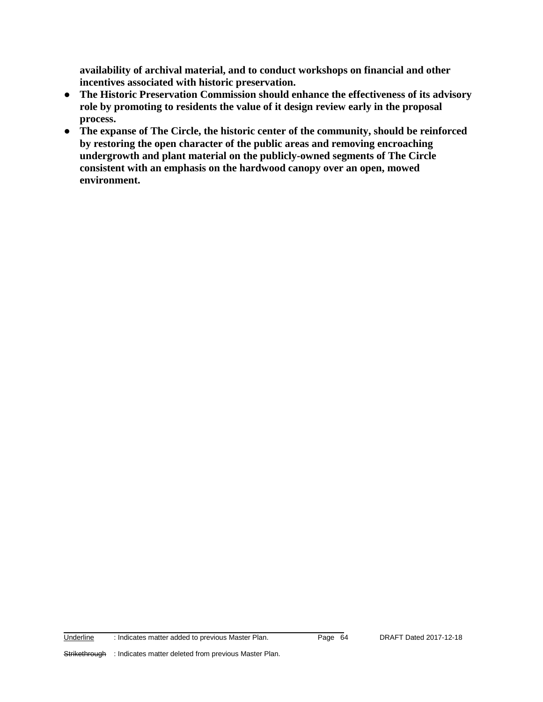**availability of archival material, and to conduct workshops on financial and other incentives associated with historic preservation.**

- **The Historic Preservation Commission should enhance the effectiveness of its advisory role by promoting to residents the value of it design review early in the proposal process.**
- **The expanse of The Circle, the historic center of the community, should be reinforced by restoring the open character of the public areas and removing encroaching undergrowth and plant material on the publicly-owned segments of The Circle consistent with an emphasis on the hardwood canopy over an open, mowed environment.**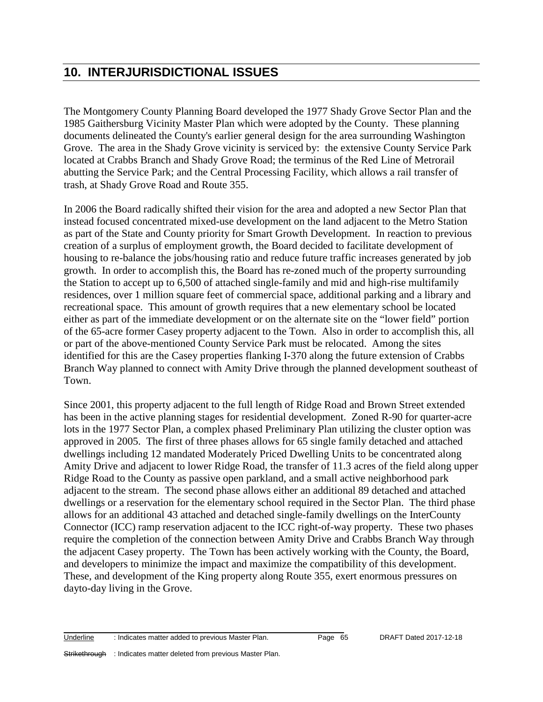# **10. INTERJURISDICTIONAL ISSUES**

The Montgomery County Planning Board developed the 1977 Shady Grove Sector Plan and the 1985 Gaithersburg Vicinity Master Plan which were adopted by the County. These planning documents delineated the County's earlier general design for the area surrounding Washington Grove. The area in the Shady Grove vicinity is serviced by: the extensive County Service Park located at Crabbs Branch and Shady Grove Road; the terminus of the Red Line of Metrorail abutting the Service Park; and the Central Processing Facility, which allows a rail transfer of trash, at Shady Grove Road and Route 355.

In 2006 the Board radically shifted their vision for the area and adopted a new Sector Plan that instead focused concentrated mixed-use development on the land adjacent to the Metro Station as part of the State and County priority for Smart Growth Development. In reaction to previous creation of a surplus of employment growth, the Board decided to facilitate development of housing to re-balance the jobs/housing ratio and reduce future traffic increases generated by job growth. In order to accomplish this, the Board has re-zoned much of the property surrounding the Station to accept up to 6,500 of attached single-family and mid and high-rise multifamily residences, over 1 million square feet of commercial space, additional parking and a library and recreational space. This amount of growth requires that a new elementary school be located either as part of the immediate development or on the alternate site on the "lower field" portion of the 65-acre former Casey property adjacent to the Town. Also in order to accomplish this, all or part of the above-mentioned County Service Park must be relocated. Among the sites identified for this are the Casey properties flanking I-370 along the future extension of Crabbs Branch Way planned to connect with Amity Drive through the planned development southeast of Town.

Since 2001, this property adjacent to the full length of Ridge Road and Brown Street extended has been in the active planning stages for residential development. Zoned R-90 for quarter-acre lots in the 1977 Sector Plan, a complex phased Preliminary Plan utilizing the cluster option was approved in 2005. The first of three phases allows for 65 single family detached and attached dwellings including 12 mandated Moderately Priced Dwelling Units to be concentrated along Amity Drive and adjacent to lower Ridge Road, the transfer of 11.3 acres of the field along upper Ridge Road to the County as passive open parkland, and a small active neighborhood park adjacent to the stream. The second phase allows either an additional 89 detached and attached dwellings or a reservation for the elementary school required in the Sector Plan. The third phase allows for an additional 43 attached and detached single-family dwellings on the InterCounty Connector (ICC) ramp reservation adjacent to the ICC right-of-way property. These two phases require the completion of the connection between Amity Drive and Crabbs Branch Way through the adjacent Casey property. The Town has been actively working with the County, the Board, and developers to minimize the impact and maximize the compatibility of this development. These, and development of the King property along Route 355, exert enormous pressures on dayto-day living in the Grove.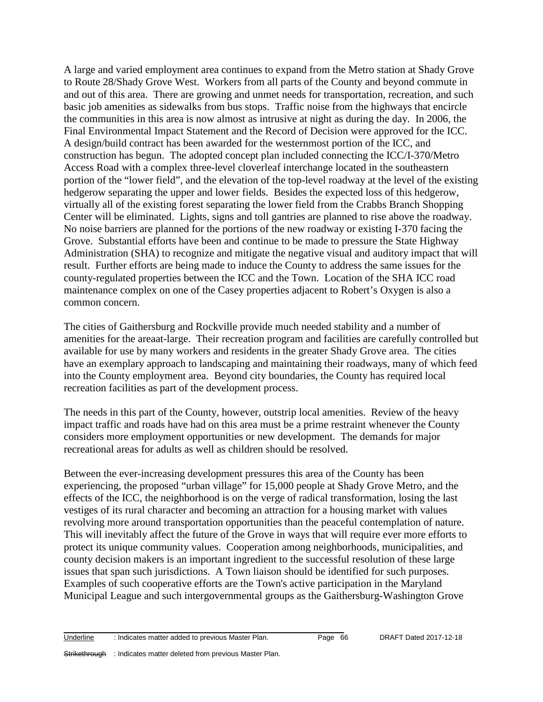A large and varied employment area continues to expand from the Metro station at Shady Grove to Route 28/Shady Grove West. Workers from all parts of the County and beyond commute in and out of this area. There are growing and unmet needs for transportation, recreation, and such basic job amenities as sidewalks from bus stops. Traffic noise from the highways that encircle the communities in this area is now almost as intrusive at night as during the day. In 2006, the Final Environmental Impact Statement and the Record of Decision were approved for the ICC. A design/build contract has been awarded for the westernmost portion of the ICC, and construction has begun. The adopted concept plan included connecting the ICC/I-370/Metro Access Road with a complex three-level cloverleaf interchange located in the southeastern portion of the "lower field", and the elevation of the top-level roadway at the level of the existing hedgerow separating the upper and lower fields. Besides the expected loss of this hedgerow, virtually all of the existing forest separating the lower field from the Crabbs Branch Shopping Center will be eliminated. Lights, signs and toll gantries are planned to rise above the roadway. No noise barriers are planned for the portions of the new roadway or existing I-370 facing the Grove. Substantial efforts have been and continue to be made to pressure the State Highway Administration (SHA) to recognize and mitigate the negative visual and auditory impact that will result. Further efforts are being made to induce the County to address the same issues for the county-regulated properties between the ICC and the Town. Location of the SHA ICC road maintenance complex on one of the Casey properties adjacent to Robert's Oxygen is also a common concern.

The cities of Gaithersburg and Rockville provide much needed stability and a number of amenities for the areaat-large. Their recreation program and facilities are carefully controlled but available for use by many workers and residents in the greater Shady Grove area. The cities have an exemplary approach to landscaping and maintaining their roadways, many of which feed into the County employment area. Beyond city boundaries, the County has required local recreation facilities as part of the development process.

The needs in this part of the County, however, outstrip local amenities. Review of the heavy impact traffic and roads have had on this area must be a prime restraint whenever the County considers more employment opportunities or new development. The demands for major recreational areas for adults as well as children should be resolved.

Between the ever-increasing development pressures this area of the County has been experiencing, the proposed "urban village" for 15,000 people at Shady Grove Metro, and the effects of the ICC, the neighborhood is on the verge of radical transformation, losing the last vestiges of its rural character and becoming an attraction for a housing market with values revolving more around transportation opportunities than the peaceful contemplation of nature. This will inevitably affect the future of the Grove in ways that will require ever more efforts to protect its unique community values. Cooperation among neighborhoods, municipalities, and county decision makers is an important ingredient to the successful resolution of these large issues that span such jurisdictions. A Town liaison should be identified for such purposes. Examples of such cooperative efforts are the Town's active participation in the Maryland Municipal League and such intergovernmental groups as the Gaithersburg-Washington Grove